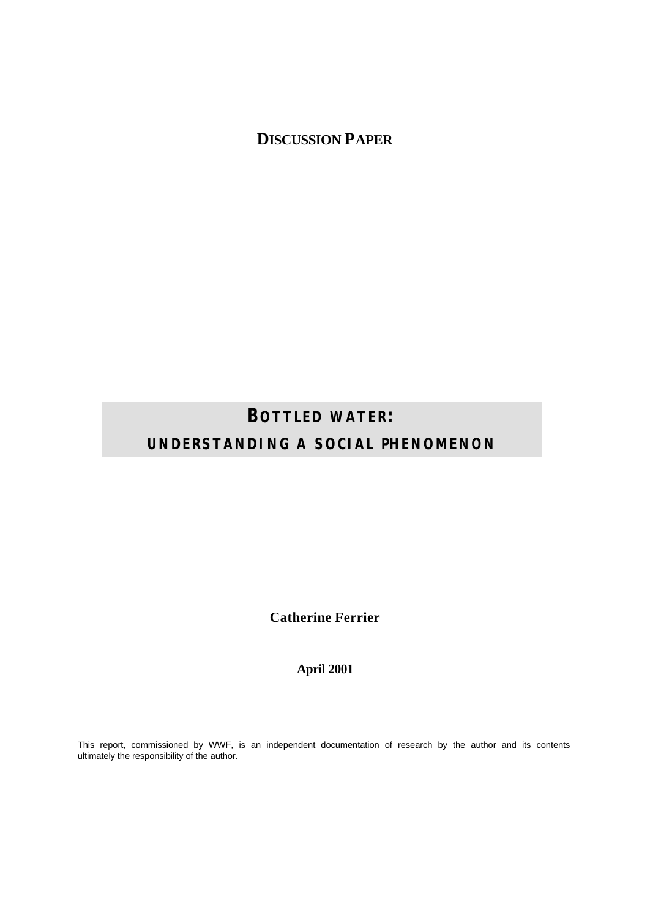**DISCUSSION PAPER**

# **BOTTLED WATER: UNDERSTANDING A SOCIAL PHENOMENON**

**Catherine Ferrier**

**April 2001**

This report, commissioned by WWF, is an independent documentation of research by the author and its contents ultimately the responsibility of the author.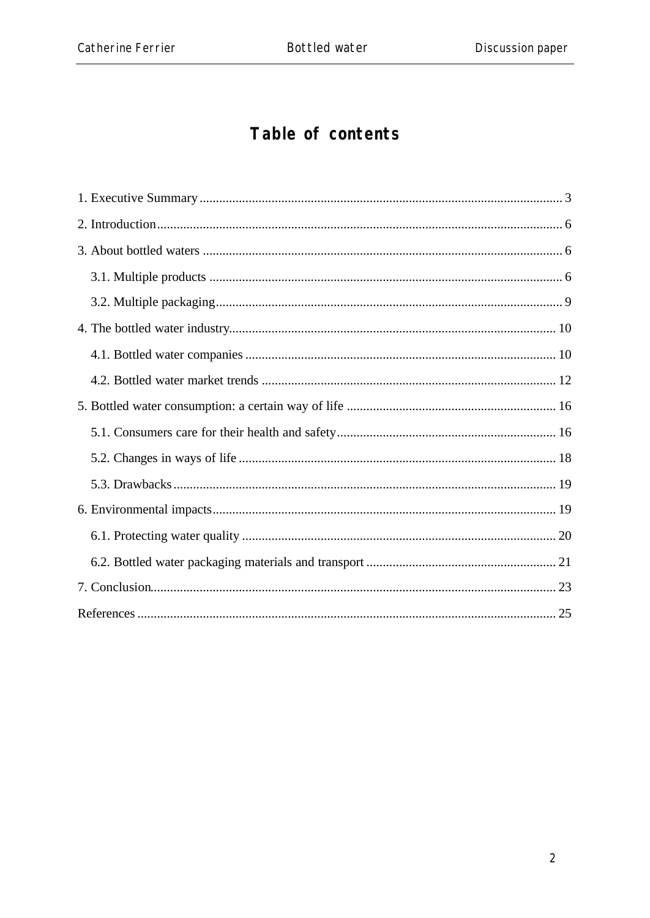# Table of contents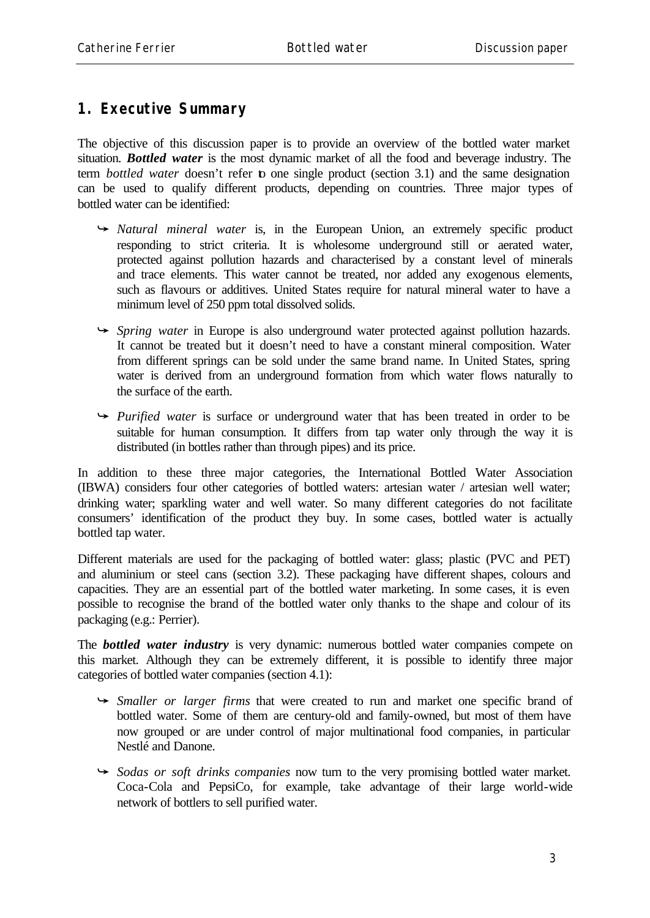## **1. Executive Summary**

The objective of this discussion paper is to provide an overview of the bottled water market situation. *Bottled water* is the most dynamic market of all the food and beverage industry. The term *bottled water* doesn't refer to one single product (section 3.1) and the same designation can be used to qualify different products, depending on countries. Three major types of bottled water can be identified:

- Â *Natural mineral water* is, in the European Union, an extremely specific product responding to strict criteria. It is wholesome underground still or aerated water, protected against pollution hazards and characterised by a constant level of minerals and trace elements. This water cannot be treated, nor added any exogenous elements, such as flavours or additives. United States require for natural mineral water to have a minimum level of 250 ppm total dissolved solids.
- Â *Spring water* in Europe is also underground water protected against pollution hazards. It cannot be treated but it doesn't need to have a constant mineral composition. Water from different springs can be sold under the same brand name. In United States, spring water is derived from an underground formation from which water flows naturally to the surface of the earth.
- **→** *Purified water* is surface or underground water that has been treated in order to be suitable for human consumption. It differs from tap water only through the way it is distributed (in bottles rather than through pipes) and its price.

In addition to these three major categories, the International Bottled Water Association (IBWA) considers four other categories of bottled waters: artesian water / artesian well water; drinking water; sparkling water and well water. So many different categories do not facilitate consumers' identification of the product they buy. In some cases, bottled water is actually bottled tap water.

Different materials are used for the packaging of bottled water: glass; plastic (PVC and PET) and aluminium or steel cans (section 3.2). These packaging have different shapes, colours and capacities. They are an essential part of the bottled water marketing. In some cases, it is even possible to recognise the brand of the bottled water only thanks to the shape and colour of its packaging (e.g.: Perrier).

The *bottled water industry* is very dynamic: numerous bottled water companies compete on this market. Although they can be extremely different, it is possible to identify three major categories of bottled water companies (section 4.1):

- Â *Smaller or larger firms* that were created to run and market one specific brand of bottled water. Some of them are century-old and family-owned, but most of them have now grouped or are under control of major multinational food companies, in particular Nestlé and Danone.
- Â *Sodas or soft drinks companies* now turn to the very promising bottled water market. Coca-Cola and PepsiCo, for example, take advantage of their large world-wide network of bottlers to sell purified water.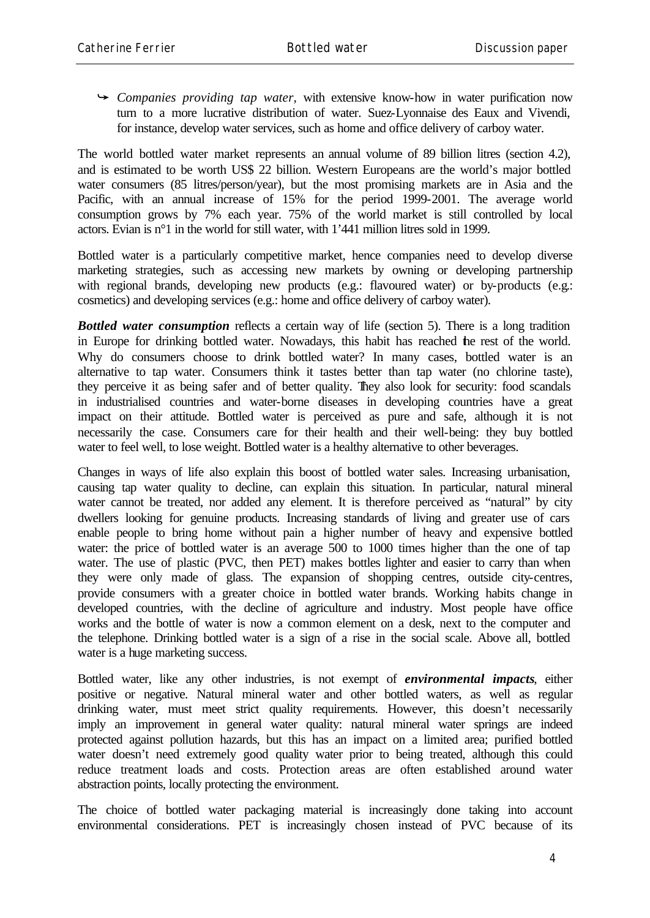Â *Companies providing tap water,* with extensive know-how in water purification now turn to a more lucrative distribution of water. Suez-Lyonnaise des Eaux and Vivendi, for instance, develop water services, such as home and office delivery of carboy water.

The world bottled water market represents an annual volume of 89 billion litres (section 4.2), and is estimated to be worth US\$ 22 billion. Western Europeans are the world's major bottled water consumers (85 litres/person/year), but the most promising markets are in Asia and the Pacific, with an annual increase of 15% for the period 1999-2001. The average world consumption grows by 7% each year. 75% of the world market is still controlled by local actors. Evian is n°1 in the world for still water, with 1'441 million litres sold in 1999.

Bottled water is a particularly competitive market, hence companies need to develop diverse marketing strategies, such as accessing new markets by owning or developing partnership with regional brands, developing new products (e.g.: flavoured water) or by-products (e.g.: cosmetics) and developing services (e.g.: home and office delivery of carboy water).

**Bottled water consumption** reflects a certain way of life (section 5). There is a long tradition in Europe for drinking bottled water. Nowadays, this habit has reached the rest of the world. Why do consumers choose to drink bottled water? In many cases, bottled water is an alternative to tap water. Consumers think it tastes better than tap water (no chlorine taste), they perceive it as being safer and of better quality. They also look for security: food scandals in industrialised countries and water-borne diseases in developing countries have a great impact on their attitude. Bottled water is perceived as pure and safe, although it is not necessarily the case. Consumers care for their health and their well-being: they buy bottled water to feel well, to lose weight. Bottled water is a healthy alternative to other beverages.

Changes in ways of life also explain this boost of bottled water sales. Increasing urbanisation, causing tap water quality to decline, can explain this situation. In particular, natural mineral water cannot be treated, nor added any element. It is therefore perceived as "natural" by city dwellers looking for genuine products. Increasing standards of living and greater use of cars enable people to bring home without pain a higher number of heavy and expensive bottled water: the price of bottled water is an average 500 to 1000 times higher than the one of tap water. The use of plastic (PVC, then PET) makes bottles lighter and easier to carry than when they were only made of glass. The expansion of shopping centres, outside city-centres, provide consumers with a greater choice in bottled water brands. Working habits change in developed countries, with the decline of agriculture and industry. Most people have office works and the bottle of water is now a common element on a desk, next to the computer and the telephone. Drinking bottled water is a sign of a rise in the social scale. Above all, bottled water is a huge marketing success.

Bottled water, like any other industries, is not exempt of *environmental impacts*, either positive or negative. Natural mineral water and other bottled waters, as well as regular drinking water, must meet strict quality requirements. However, this doesn't necessarily imply an improvement in general water quality: natural mineral water springs are indeed protected against pollution hazards, but this has an impact on a limited area; purified bottled water doesn't need extremely good quality water prior to being treated, although this could reduce treatment loads and costs. Protection areas are often established around water abstraction points, locally protecting the environment.

The choice of bottled water packaging material is increasingly done taking into account environmental considerations. PET is increasingly chosen instead of PVC because of its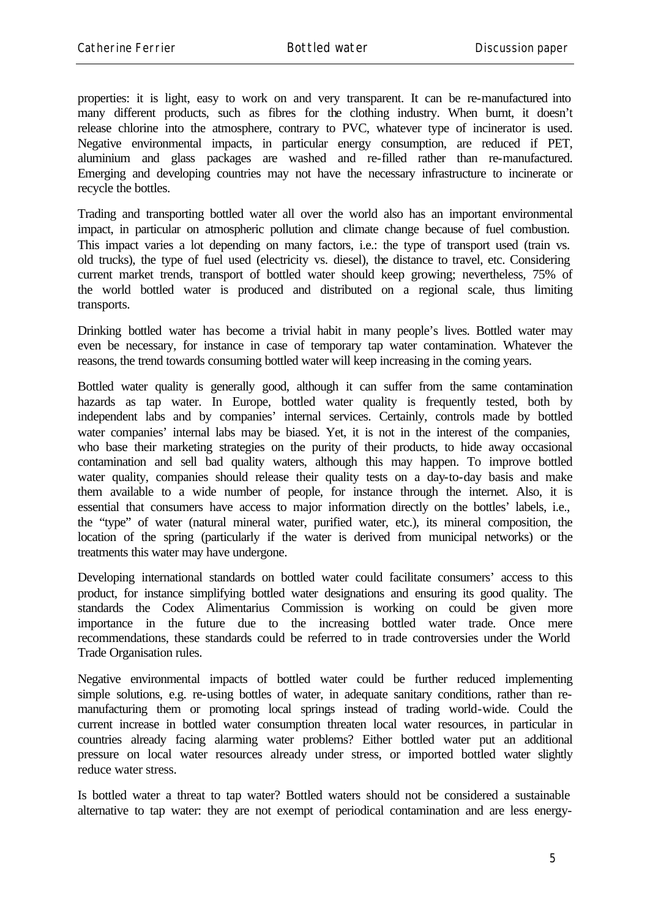properties: it is light, easy to work on and very transparent. It can be re-manufactured into many different products, such as fibres for the clothing industry. When burnt, it doesn't release chlorine into the atmosphere, contrary to PVC, whatever type of incinerator is used. Negative environmental impacts, in particular energy consumption, are reduced if PET, aluminium and glass packages are washed and re-filled rather than re-manufactured. Emerging and developing countries may not have the necessary infrastructure to incinerate or recycle the bottles.

Trading and transporting bottled water all over the world also has an important environmental impact, in particular on atmospheric pollution and climate change because of fuel combustion. This impact varies a lot depending on many factors, i.e.: the type of transport used (train vs. old trucks), the type of fuel used (electricity vs. diesel), the distance to travel, etc. Considering current market trends, transport of bottled water should keep growing; nevertheless, 75% of the world bottled water is produced and distributed on a regional scale, thus limiting transports.

Drinking bottled water has become a trivial habit in many people's lives. Bottled water may even be necessary, for instance in case of temporary tap water contamination. Whatever the reasons, the trend towards consuming bottled water will keep increasing in the coming years.

Bottled water quality is generally good, although it can suffer from the same contamination hazards as tap water. In Europe, bottled water quality is frequently tested, both by independent labs and by companies' internal services. Certainly, controls made by bottled water companies' internal labs may be biased. Yet, it is not in the interest of the companies, who base their marketing strategies on the purity of their products, to hide away occasional contamination and sell bad quality waters, although this may happen. To improve bottled water quality, companies should release their quality tests on a day-to-day basis and make them available to a wide number of people, for instance through the internet. Also, it is essential that consumers have access to major information directly on the bottles' labels, i.e., the "type" of water (natural mineral water, purified water, etc.), its mineral composition, the location of the spring (particularly if the water is derived from municipal networks) or the treatments this water may have undergone.

Developing international standards on bottled water could facilitate consumers' access to this product, for instance simplifying bottled water designations and ensuring its good quality. The standards the Codex Alimentarius Commission is working on could be given more importance in the future due to the increasing bottled water trade. Once mere recommendations, these standards could be referred to in trade controversies under the World Trade Organisation rules.

Negative environmental impacts of bottled water could be further reduced implementing simple solutions, e.g. re-using bottles of water, in adequate sanitary conditions, rather than remanufacturing them or promoting local springs instead of trading world-wide. Could the current increase in bottled water consumption threaten local water resources, in particular in countries already facing alarming water problems? Either bottled water put an additional pressure on local water resources already under stress, or imported bottled water slightly reduce water stress.

Is bottled water a threat to tap water? Bottled waters should not be considered a sustainable alternative to tap water: they are not exempt of periodical contamination and are less energy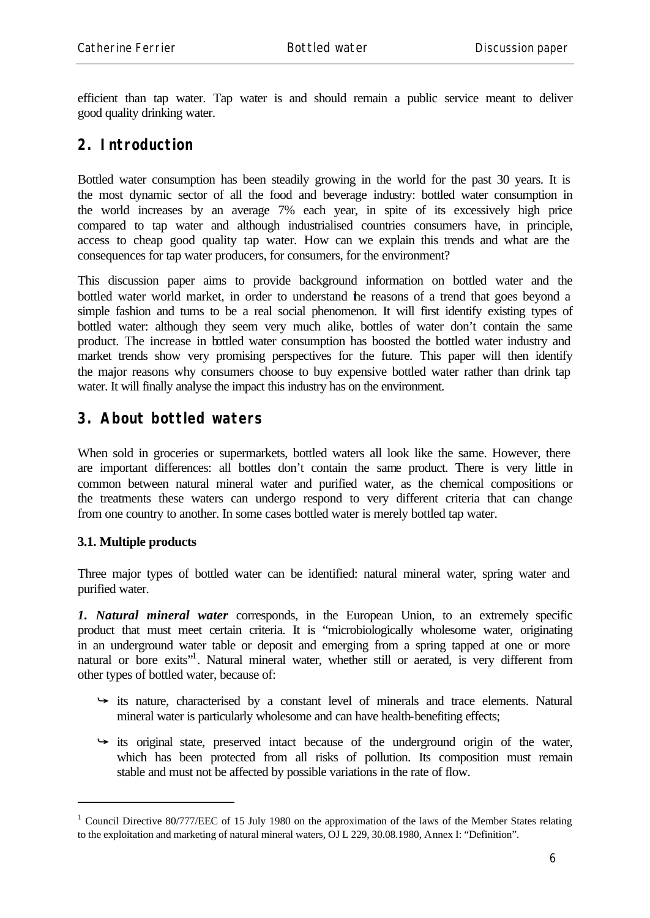efficient than tap water. Tap water is and should remain a public service meant to deliver good quality drinking water.

## **2. Introduction**

Bottled water consumption has been steadily growing in the world for the past 30 years. It is the most dynamic sector of all the food and beverage industry: bottled water consumption in the world increases by an average 7% each year, in spite of its excessively high price compared to tap water and although industrialised countries consumers have, in principle, access to cheap good quality tap water. How can we explain this trends and what are the consequences for tap water producers, for consumers, for the environment?

This discussion paper aims to provide background information on bottled water and the bottled water world market, in order to understand he reasons of a trend that goes beyond a simple fashion and turns to be a real social phenomenon. It will first identify existing types of bottled water: although they seem very much alike, bottles of water don't contain the same product. The increase in bottled water consumption has boosted the bottled water industry and market trends show very promising perspectives for the future. This paper will then identify the major reasons why consumers choose to buy expensive bottled water rather than drink tap water. It will finally analyse the impact this industry has on the environment.

# **3. About bottled waters**

When sold in groceries or supermarkets, bottled waters all look like the same. However, there are important differences: all bottles don't contain the same product. There is very little in common between natural mineral water and purified water, as the chemical compositions or the treatments these waters can undergo respond to very different criteria that can change from one country to another. In some cases bottled water is merely bottled tap water.

### **3.1. Multiple products**

l

Three major types of bottled water can be identified: natural mineral water, spring water and purified water.

*1. Natural mineral water* corresponds, in the European Union, to an extremely specific product that must meet certain criteria. It is "microbiologically wholesome water, originating in an underground water table or deposit and emerging from a spring tapped at one or more natural or bore exits"<sup>1</sup>. Natural mineral water, whether still or aerated, is very different from other types of bottled water, because of:

- $\rightarrow$  its nature, characterised by a constant level of minerals and trace elements. Natural mineral water is particularly wholesome and can have health-benefiting effects;
- $\rightarrow$  its original state, preserved intact because of the underground origin of the water, which has been protected from all risks of pollution. Its composition must remain stable and must not be affected by possible variations in the rate of flow.

<sup>&</sup>lt;sup>1</sup> Council Directive 80/777/EEC of 15 July 1980 on the approximation of the laws of the Member States relating to the exploitation and marketing of natural mineral waters, OJ L 229, 30.08.1980, Annex I: "Definition".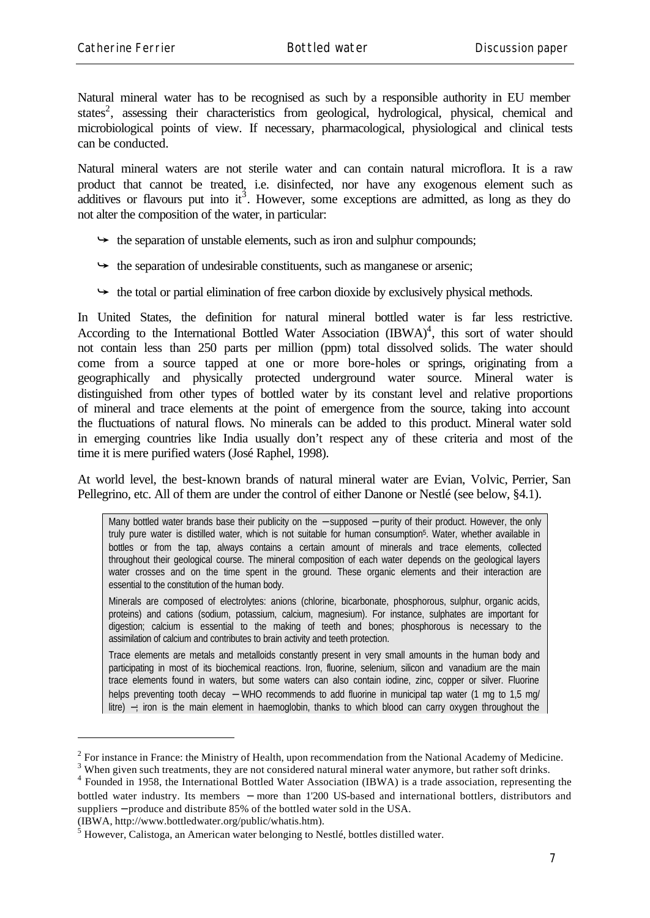Natural mineral water has to be recognised as such by a responsible authority in EU member states<sup>2</sup>, assessing their characteristics from geological, hydrological, physical, chemical and microbiological points of view. If necessary, pharmacological, physiological and clinical tests can be conducted.

Natural mineral waters are not sterile water and can contain natural microflora. It is a raw product that cannot be treated, i.e. disinfected, nor have any exogenous element such as additives or flavours put into it<sup>3</sup>. However, some exceptions are admitted, as long as they do not alter the composition of the water, in particular:

- $\rightarrow$  the separation of unstable elements, such as iron and sulphur compounds;
- $\rightarrow$  the separation of undesirable constituents, such as manganese or arsenic;
- $\rightarrow$  the total or partial elimination of free carbon dioxide by exclusively physical methods.

In United States, the definition for natural mineral bottled water is far less restrictive. According to the International Bottled Water Association  $(BWA)^4$ , this sort of water should not contain less than 250 parts per million (ppm) total dissolved solids. The water should come from a source tapped at one or more bore-holes or springs, originating from a geographically and physically protected underground water source. Mineral water is distinguished from other types of bottled water by its constant level and relative proportions of mineral and trace elements at the point of emergence from the source, taking into account the fluctuations of natural flows. No minerals can be added to this product. Mineral water sold in emerging countries like India usually don't respect any of these criteria and most of the time it is mere purified waters (José Raphel, 1998).

At world level, the best-known brands of natural mineral water are Evian, Volvic, Perrier, San Pellegrino, etc. All of them are under the control of either Danone or Nestlé (see below, §4.1).

Many bottled water brands base their publicity on the – supposed – purity of their product. However, the only truly pure water is distilled water, which is not suitable for human consumption5. Water, whether available in bottles or from the tap, always contains a certain amount of minerals and trace elements, collected throughout their geological course. The mineral composition of each water depends on the geological layers water crosses and on the time spent in the ground. These organic elements and their interaction are essential to the constitution of the human body.

Minerals are composed of electrolytes: anions (chlorine, bicarbonate, phosphorous, sulphur, organic acids, proteins) and cations (sodium, potassium, calcium, magnesium). For instance, sulphates are important for digestion; calcium is essential to the making of teeth and bones; phosphorous is necessary to the assimilation of calcium and contributes to brain activity and teeth protection.

Trace elements are metals and metalloids constantly present in very small amounts in the human body and participating in most of its biochemical reactions. Iron, fluorine, selenium, silicon and vanadium are the main trace elements found in waters, but some waters can also contain iodine, zinc, copper or silver. Fluorine helps preventing tooth decay – WHO recommends to add fluorine in municipal tap water (1 mg to 1,5 mg/ litre) −; iron is the main element in haemoglobin, thanks to which blood can carry oxygen throughout the

(IBWA, http://www.bottledwater.org/public/whatis.htm).

 $2^2$  For instance in France: the Ministry of Health, upon recommendation from the National Academy of Medicine.

<sup>&</sup>lt;sup>3</sup> When given such treatments, they are not considered natural mineral water anymore, but rather soft drinks.

<sup>&</sup>lt;sup>4</sup> Founded in 1958, the International Bottled Water Association (IBWA) is a trade association, representing the bottled water industry. Its members − more than 1'200 US-based and international bottlers, distributors and suppliers – produce and distribute 85% of the bottled water sold in the USA.

<sup>&</sup>lt;sup>5</sup> However, Calistoga, an American water belonging to Nestlé, bottles distilled water.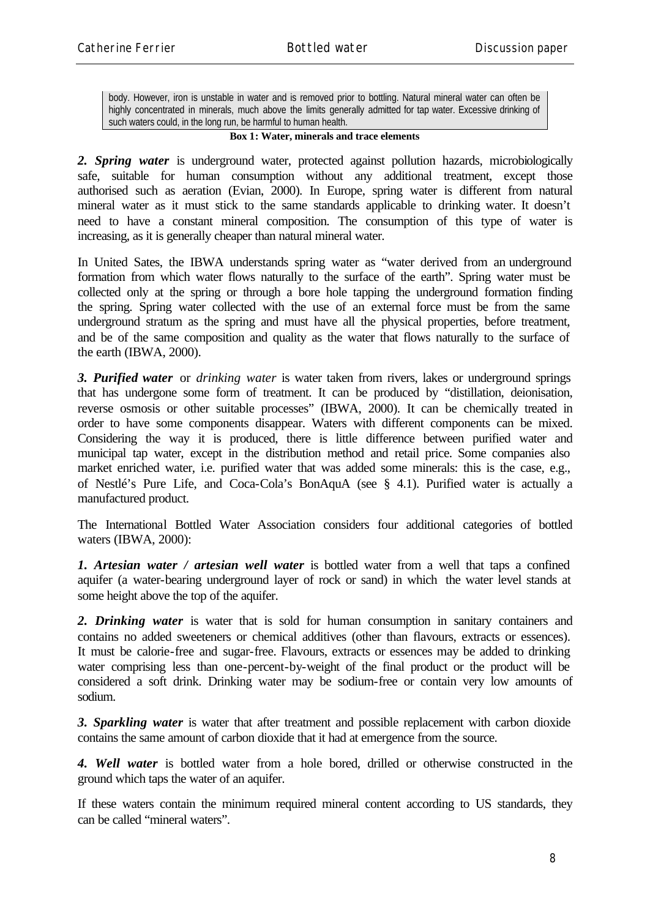body. However, iron is unstable in water and is removed prior to bottling. Natural mineral water can often be highly concentrated in minerals, much above the limits generally admitted for tap water. Excessive drinking of such waters could, in the long run, be harmful to human health.

#### **Box 1: Water, minerals and trace elements**

*2. Spring water* is underground water, protected against pollution hazards, microbiologically safe, suitable for human consumption without any additional treatment, except those authorised such as aeration (Evian, 2000). In Europe, spring water is different from natural mineral water as it must stick to the same standards applicable to drinking water. It doesn't need to have a constant mineral composition. The consumption of this type of water is increasing, as it is generally cheaper than natural mineral water.

In United Sates, the IBWA understands spring water as "water derived from an underground formation from which water flows naturally to the surface of the earth". Spring water must be collected only at the spring or through a bore hole tapping the underground formation finding the spring. Spring water collected with the use of an external force must be from the same underground stratum as the spring and must have all the physical properties, before treatment, and be of the same composition and quality as the water that flows naturally to the surface of the earth (IBWA, 2000).

*3. Purified water* or *drinking water* is water taken from rivers, lakes or underground springs that has undergone some form of treatment. It can be produced by "distillation, deionisation, reverse osmosis or other suitable processes" (IBWA, 2000). It can be chemically treated in order to have some components disappear. Waters with different components can be mixed. Considering the way it is produced, there is little difference between purified water and municipal tap water, except in the distribution method and retail price. Some companies also market enriched water, i.e. purified water that was added some minerals: this is the case, e.g., of Nestlé's Pure Life, and Coca-Cola's BonAquA (see § 4.1). Purified water is actually a manufactured product.

The International Bottled Water Association considers four additional categories of bottled waters (IBWA, 2000):

*1. Artesian water / artesian well water* is bottled water from a well that taps a confined aquifer (a water-bearing underground layer of rock or sand) in which the water level stands at some height above the top of the aquifer.

*2. Drinking water* is water that is sold for human consumption in sanitary containers and contains no added sweeteners or chemical additives (other than flavours, extracts or essences). It must be calorie-free and sugar-free. Flavours, extracts or essences may be added to drinking water comprising less than one-percent-by-weight of the final product or the product will be considered a soft drink. Drinking water may be sodium-free or contain very low amounts of sodium.

*3. Sparkling water* is water that after treatment and possible replacement with carbon dioxide contains the same amount of carbon dioxide that it had at emergence from the source.

*4. Well water* is bottled water from a hole bored, drilled or otherwise constructed in the ground which taps the water of an aquifer.

If these waters contain the minimum required mineral content according to US standards, they can be called "mineral waters".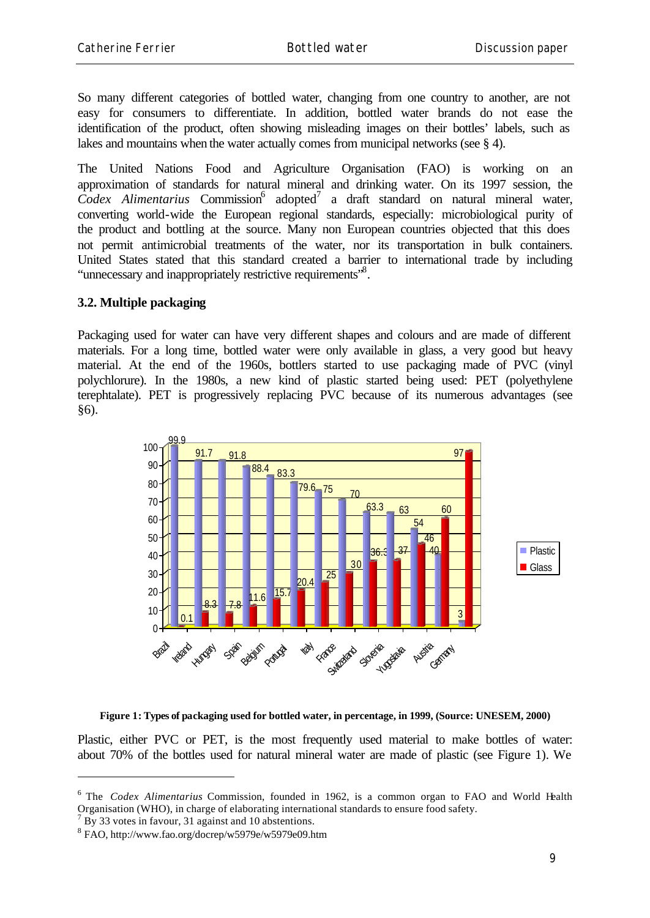So many different categories of bottled water, changing from one country to another, are not easy for consumers to differentiate. In addition, bottled water brands do not ease the identification of the product, often showing misleading images on their bottles' labels, such as lakes and mountains when the water actually comes from municipal networks (see § 4).

The United Nations Food and Agriculture Organisation (FAO) is working on an approximation of standards for natural mineral and drinking water. On its 1997 session, the Codex Alimentarius Commission<sup>6</sup> adopted<sup>7</sup> a draft standard on natural mineral water, converting world-wide the European regional standards, especially: microbiological purity of the product and bottling at the source. Many non European countries objected that this does not permit antimicrobial treatments of the water, nor its transportation in bulk containers. United States stated that this standard created a barrier to international trade by including "unnecessary and inappropriately restrictive requirements"<sup>8</sup>.

#### **3.2. Multiple packaging**

Packaging used for water can have very different shapes and colours and are made of different materials. For a long time, bottled water were only available in glass, a very good but heavy material. At the end of the 1960s, bottlers started to use packaging made of PVC (vinyl polychlorure). In the 1980s, a new kind of plastic started being used: PET (polyethylene terephtalate). PET is progressively replacing PVC because of its numerous advantages (see §6).



#### **Figure 1: Types of packaging used for bottled water, in percentage, in 1999, (Source: UNESEM, 2000)**

Plastic, either PVC or PET, is the most frequently used material to make bottles of water: about 70% of the bottles used for natural mineral water are made of plastic (see Figure 1). We

<sup>&</sup>lt;sup>6</sup> The *Codex Alimentarius* Commission, founded in 1962, is a common organ to FAO and World Health Organisation (WHO), in charge of elaborating international standards to ensure food safety.

 $7 By 33$  votes in favour, 31 against and 10 abstentions.

<sup>8</sup> FAO, http://www.fao.org/docrep/w5979e/w5979e09.htm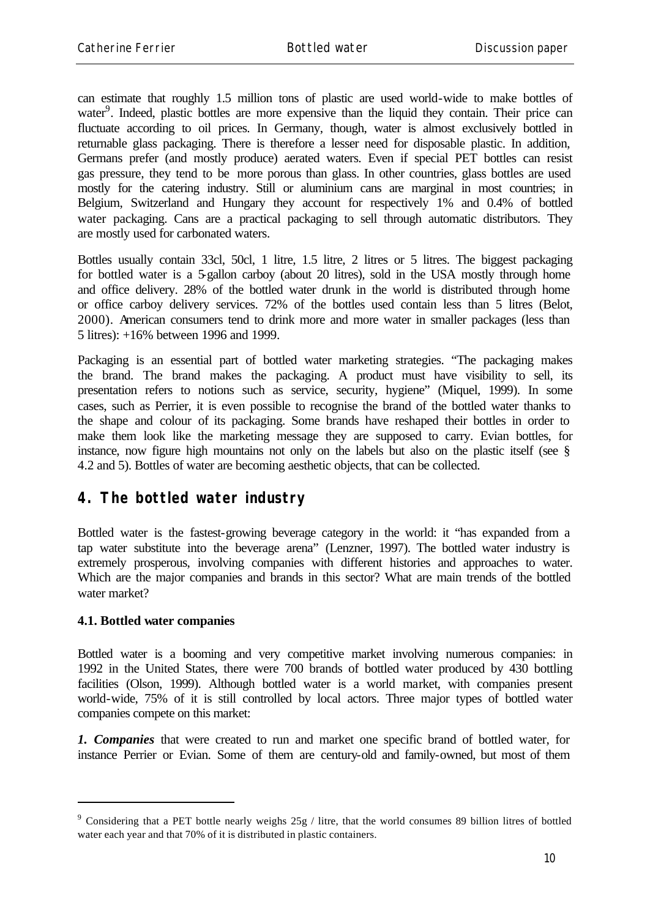can estimate that roughly 1.5 million tons of plastic are used world-wide to make bottles of water<sup>9</sup>. Indeed, plastic bottles are more expensive than the liquid they contain. Their price can fluctuate according to oil prices. In Germany, though, water is almost exclusively bottled in returnable glass packaging. There is therefore a lesser need for disposable plastic. In addition, Germans prefer (and mostly produce) aerated waters. Even if special PET bottles can resist gas pressure, they tend to be more porous than glass. In other countries, glass bottles are used mostly for the catering industry. Still or aluminium cans are marginal in most countries; in Belgium, Switzerland and Hungary they account for respectively 1% and 0.4% of bottled water packaging. Cans are a practical packaging to sell through automatic distributors. They are mostly used for carbonated waters.

Bottles usually contain 33cl, 50cl, 1 litre, 1.5 litre, 2 litres or 5 litres. The biggest packaging for bottled water is a 5-gallon carboy (about 20 litres), sold in the USA mostly through home and office delivery. 28% of the bottled water drunk in the world is distributed through home or office carboy delivery services. 72% of the bottles used contain less than 5 litres (Belot, 2000). American consumers tend to drink more and more water in smaller packages (less than 5 litres): +16% between 1996 and 1999.

Packaging is an essential part of bottled water marketing strategies. "The packaging makes the brand. The brand makes the packaging. A product must have visibility to sell, its presentation refers to notions such as service, security, hygiene" (Miquel, 1999). In some cases, such as Perrier, it is even possible to recognise the brand of the bottled water thanks to the shape and colour of its packaging. Some brands have reshaped their bottles in order to make them look like the marketing message they are supposed to carry. Evian bottles, for instance, now figure high mountains not only on the labels but also on the plastic itself (see § 4.2 and 5). Bottles of water are becoming aesthetic objects, that can be collected.

### **4. The bottled water industry**

Bottled water is the fastest-growing beverage category in the world: it "has expanded from a tap water substitute into the beverage arena" (Lenzner, 1997). The bottled water industry is extremely prosperous, involving companies with different histories and approaches to water. Which are the major companies and brands in this sector? What are main trends of the bottled water market?

#### **4.1. Bottled water companies**

l

Bottled water is a booming and very competitive market involving numerous companies: in 1992 in the United States, there were 700 brands of bottled water produced by 430 bottling facilities (Olson, 1999). Although bottled water is a world market, with companies present world-wide, 75% of it is still controlled by local actors. Three major types of bottled water companies compete on this market:

*1. Companies* that were created to run and market one specific brand of bottled water, for instance Perrier or Evian. Some of them are century-old and family-owned, but most of them

<sup>&</sup>lt;sup>9</sup> Considering that a PET bottle nearly weighs 25g / litre, that the world consumes 89 billion litres of bottled water each year and that 70% of it is distributed in plastic containers.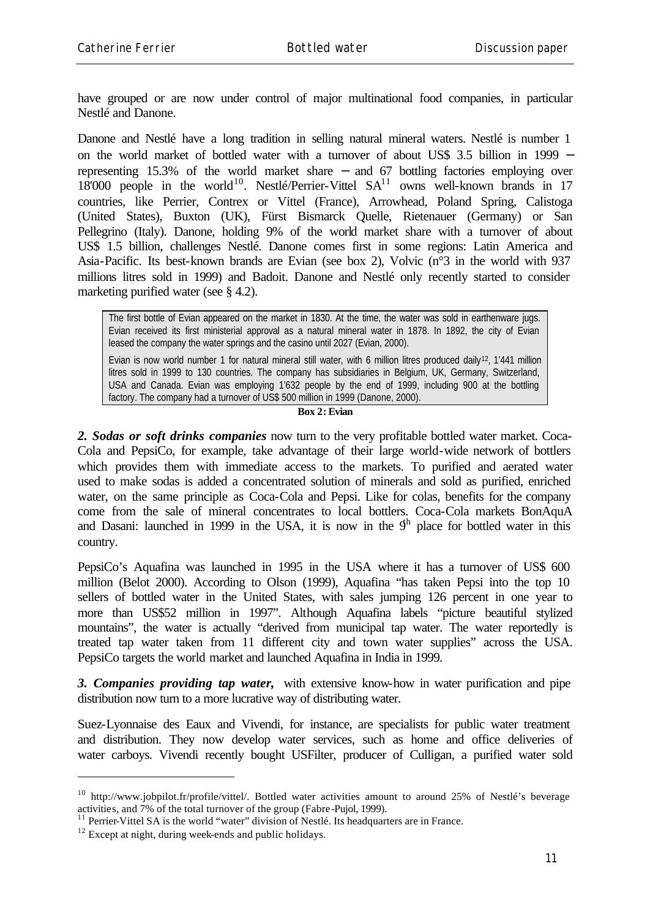have grouped or are now under control of major multinational food companies, in particular Nestlé and Danone.

Danone and Nestlé have a long tradition in selling natural mineral waters. Nestlé is number 1 on the world market of bottled water with a turnover of about US\$ 3.5 billion in 1999 − representing 15.3% of the world market share − and 67 bottling factories employing over  $18'000$  people in the world<sup>10</sup>. Nestlé/Perrier-Vittel  $SA<sup>11</sup>$  owns well-known brands in 17 countries, like Perrier, Contrex or Vittel (France), Arrowhead, Poland Spring, Calistoga (United States), Buxton (UK), Fürst Bismarck Quelle, Rietenauer (Germany) or San Pellegrino (Italy). Danone, holding 9% of the world market share with a turnover of about US\$ 1.5 billion, challenges Nestlé. Danone comes first in some regions: Latin America and Asia-Pacific. Its best-known brands are Evian (see box 2), Volvic (n°3 in the world with 937 millions litres sold in 1999) and Badoit. Danone and Nestlé only recently started to consider marketing purified water (see § 4.2).

The first bottle of Evian appeared on the market in 1830. At the time, the water was sold in earthenware jugs. Evian received its first ministerial approval as a natural mineral water in 1878. In 1892, the city of Evian leased the company the water springs and the casino until 2027 (Evian, 2000).

Evian is now world number 1 for natural mineral still water, with 6 million litres produced daily<sup>12</sup>, 1'441 million litres sold in 1999 to 130 countries. The company has subsidiaries in Belgium, UK, Germany, Switzerland, USA and Canada. Evian was employing 1'632 people by the end of 1999, including 900 at the bottling factory. The company had a turnover of US\$ 500 million in 1999 (Danone, 2000).

#### **Box 2: Evian**

*2. Sodas or soft drinks companies* now turn to the very profitable bottled water market. Coca-Cola and PepsiCo, for example, take advantage of their large world-wide network of bottlers which provides them with immediate access to the markets. To purified and aerated water used to make sodas is added a concentrated solution of minerals and sold as purified, enriched water, on the same principle as Coca-Cola and Pepsi. Like for colas, benefits for the company come from the sale of mineral concentrates to local bottlers. Coca-Cola markets BonAquA and Dasani: launched in 1999 in the USA, it is now in the  $9<sup>h</sup>$  place for bottled water in this country.

PepsiCo's Aquafina was launched in 1995 in the USA where it has a turnover of US\$ 600 million (Belot 2000). According to Olson (1999), Aquafina "has taken Pepsi into the top 10 sellers of bottled water in the United States, with sales jumping 126 percent in one year to more than US\$52 million in 1997". Although Aquafina labels "picture beautiful stylized mountains", the water is actually "derived from municipal tap water. The water reportedly is treated tap water taken from 11 different city and town water supplies" across the USA. PepsiCo targets the world market and launched Aquafina in India in 1999.

*3. Companies providing tap water,* with extensive know-how in water purification and pipe distribution now turn to a more lucrative way of distributing water.

Suez-Lyonnaise des Eaux and Vivendi, for instance, are specialists for public water treatment and distribution. They now develop water services, such as home and office deliveries of water carboys. Vivendi recently bought USFilter, producer of Culligan, a purified water sold

<sup>10</sup> http://www.jobpilot.fr/profile/vittel/. Bottled water activities amount to around 25% of Nestlé's beverage activities, and 7% of the total turnover of the group (Fabre-Pujol, 1999).

 $11$  Perrier-Vittel SA is the world "water" division of Nestlé. Its headquarters are in France.

 $12$  Except at night, during week-ends and public holidays.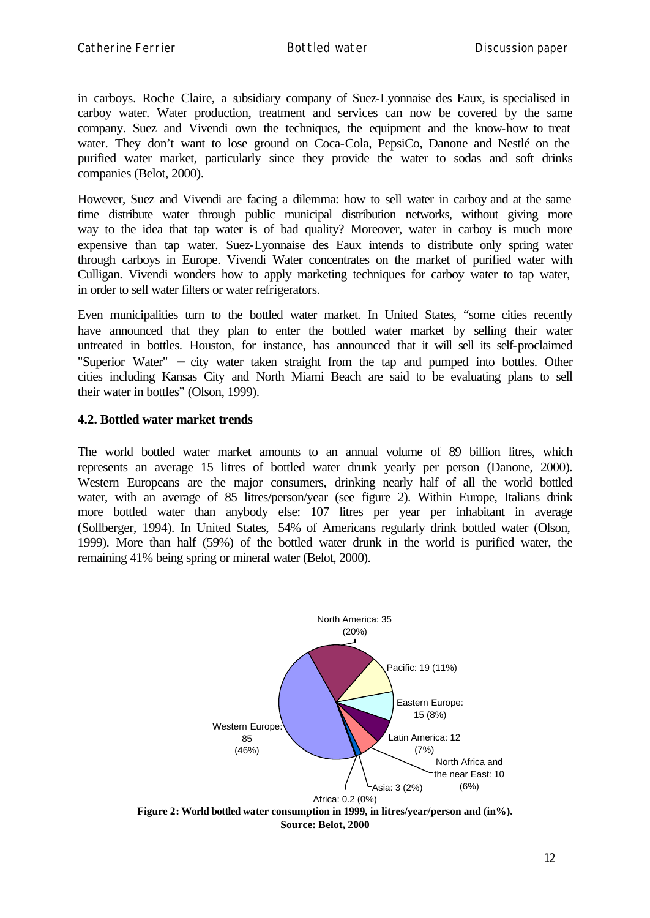in carboys. Roche Claire, a subsidiary company of Suez-Lyonnaise des Eaux, is specialised in carboy water. Water production, treatment and services can now be covered by the same company. Suez and Vivendi own the techniques, the equipment and the know-how to treat water. They don't want to lose ground on Coca-Cola, PepsiCo, Danone and Nestlé on the purified water market, particularly since they provide the water to sodas and soft drinks companies (Belot, 2000).

However, Suez and Vivendi are facing a dilemma: how to sell water in carboy and at the same time distribute water through public municipal distribution networks, without giving more way to the idea that tap water is of bad quality? Moreover, water in carboy is much more expensive than tap water. Suez-Lyonnaise des Eaux intends to distribute only spring water through carboys in Europe. Vivendi Water concentrates on the market of purified water with Culligan. Vivendi wonders how to apply marketing techniques for carboy water to tap water, in order to sell water filters or water refrigerators.

Even municipalities turn to the bottled water market. In United States, "some cities recently have announced that they plan to enter the bottled water market by selling their water untreated in bottles. Houston, for instance, has announced that it will sell its self-proclaimed "Superior Water" – city water taken straight from the tap and pumped into bottles. Other cities including Kansas City and North Miami Beach are said to be evaluating plans to sell their water in bottles" (Olson, 1999).

#### **4.2. Bottled water market trends**

The world bottled water market amounts to an annual volume of 89 billion litres, which represents an average 15 litres of bottled water drunk yearly per person (Danone, 2000). Western Europeans are the major consumers, drinking nearly half of all the world bottled water, with an average of 85 litres/person/year (see figure 2). Within Europe, Italians drink more bottled water than anybody else: 107 litres per year per inhabitant in average (Sollberger, 1994). In United States, 54% of Americans regularly drink bottled water (Olson, 1999). More than half (59%) of the bottled water drunk in the world is purified water, the remaining 41% being spring or mineral water (Belot, 2000).

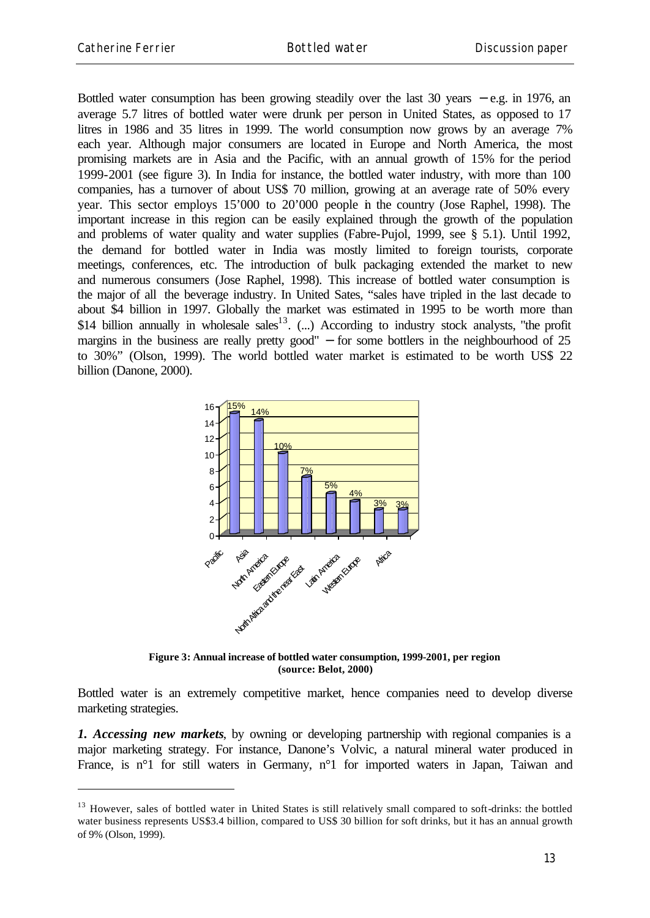l

Bottled water consumption has been growing steadily over the last 30 years − e.g. in 1976, an average 5.7 litres of bottled water were drunk per person in United States, as opposed to 17 litres in 1986 and 35 litres in 1999. The world consumption now grows by an average 7% each year. Although major consumers are located in Europe and North America, the most promising markets are in Asia and the Pacific, with an annual growth of 15% for the period 1999-2001 (see figure 3). In India for instance, the bottled water industry, with more than 100 companies, has a turnover of about US\$ 70 million, growing at an average rate of 50% every year. This sector employs 15'000 to 20'000 people in the country (Jose Raphel, 1998). The important increase in this region can be easily explained through the growth of the population and problems of water quality and water supplies (Fabre-Pujol, 1999, see § 5.1). Until 1992, the demand for bottled water in India was mostly limited to foreign tourists, corporate meetings, conferences, etc. The introduction of bulk packaging extended the market to new and numerous consumers (Jose Raphel, 1998). This increase of bottled water consumption is the major of all the beverage industry. In United Sates, "sales have tripled in the last decade to about \$4 billion in 1997. Globally the market was estimated in 1995 to be worth more than \$14 billion annually in wholesale sales<sup>13</sup>. (...) According to industry stock analysts, "the profit margins in the business are really pretty good"  $-$  for some bottlers in the neighbourhood of 25 to 30%" (Olson, 1999). The world bottled water market is estimated to be worth US\$ 22 billion (Danone, 2000).



**Figure 3: Annual increase of bottled water consumption, 1999-2001, per region (source: Belot, 2000)**

Bottled water is an extremely competitive market, hence companies need to develop diverse marketing strategies.

*1. Accessing new markets*, by owning or developing partnership with regional companies is a major marketing strategy. For instance, Danone's Volvic, a natural mineral water produced in France, is n<sup>o</sup>1 for still waters in Germany, n<sup>o</sup>1 for imported waters in Japan, Taiwan and

<sup>&</sup>lt;sup>13</sup> However, sales of bottled water in United States is still relatively small compared to soft-drinks: the bottled water business represents US\$3.4 billion, compared to US\$ 30 billion for soft drinks, but it has an annual growth of 9% (Olson, 1999).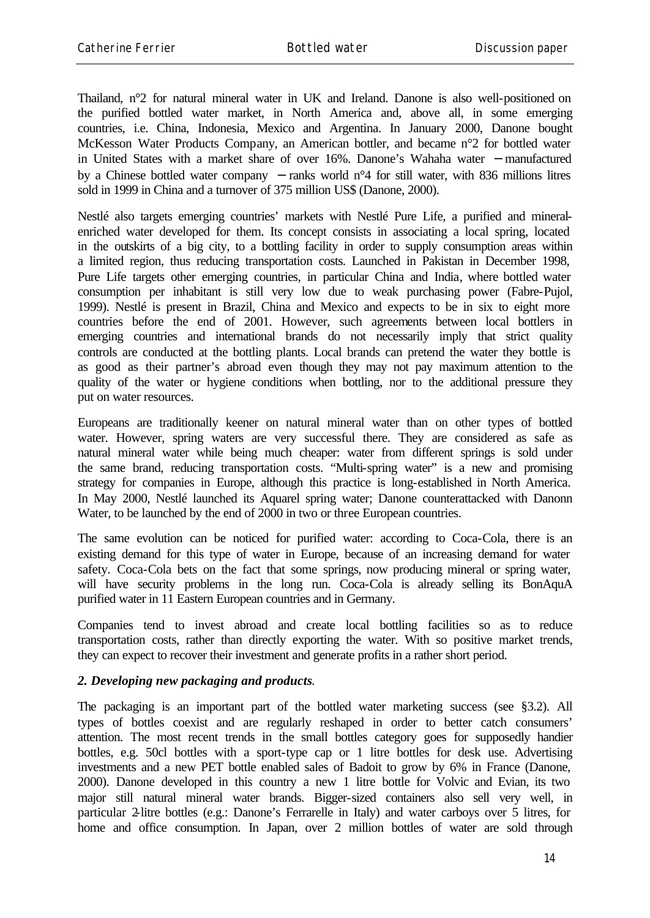Thailand, n°2 for natural mineral water in UK and Ireland. Danone is also well-positioned on the purified bottled water market, in North America and, above all, in some emerging countries, i.e. China, Indonesia, Mexico and Argentina. In January 2000, Danone bought McKesson Water Products Company, an American bottler, and became n°2 for bottled water in United States with a market share of over 16%. Danone's Wahaha water − manufactured by a Chinese bottled water company − ranks world n°4 for still water, with 836 millions litres sold in 1999 in China and a turnover of 375 million US\$ (Danone, 2000).

Nestlé also targets emerging countries' markets with Nestlé Pure Life, a purified and mineralenriched water developed for them. Its concept consists in associating a local spring, located in the outskirts of a big city, to a bottling facility in order to supply consumption areas within a limited region, thus reducing transportation costs. Launched in Pakistan in December 1998, Pure Life targets other emerging countries, in particular China and India, where bottled water consumption per inhabitant is still very low due to weak purchasing power (Fabre-Pujol, 1999). Nestlé is present in Brazil, China and Mexico and expects to be in six to eight more countries before the end of 2001. However, such agreements between local bottlers in emerging countries and international brands do not necessarily imply that strict quality controls are conducted at the bottling plants. Local brands can pretend the water they bottle is as good as their partner's abroad even though they may not pay maximum attention to the quality of the water or hygiene conditions when bottling, nor to the additional pressure they put on water resources.

Europeans are traditionally keener on natural mineral water than on other types of bottled water. However, spring waters are very successful there. They are considered as safe as natural mineral water while being much cheaper: water from different springs is sold under the same brand, reducing transportation costs. "Multi-spring water" is a new and promising strategy for companies in Europe, although this practice is long-established in North America. In May 2000, Nestlé launched its Aquarel spring water; Danone counterattacked with Danonn Water, to be launched by the end of 2000 in two or three European countries.

The same evolution can be noticed for purified water: according to Coca-Cola, there is an existing demand for this type of water in Europe, because of an increasing demand for water safety. Coca-Cola bets on the fact that some springs, now producing mineral or spring water, will have security problems in the long run. Coca-Cola is already selling its BonAquA purified water in 11 Eastern European countries and in Germany.

Companies tend to invest abroad and create local bottling facilities so as to reduce transportation costs, rather than directly exporting the water. With so positive market trends, they can expect to recover their investment and generate profits in a rather short period.

#### *2. Developing new packaging and products*.

The packaging is an important part of the bottled water marketing success (see §3.2). All types of bottles coexist and are regularly reshaped in order to better catch consumers' attention. The most recent trends in the small bottles category goes for supposedly handier bottles, e.g. 50cl bottles with a sport-type cap or 1 litre bottles for desk use. Advertising investments and a new PET bottle enabled sales of Badoit to grow by 6% in France (Danone, 2000). Danone developed in this country a new 1 litre bottle for Volvic and Evian, its two major still natural mineral water brands. Bigger-sized containers also sell very well, in particular 2-litre bottles (e.g.: Danone's Ferrarelle in Italy) and water carboys over 5 litres, for home and office consumption. In Japan, over 2 million bottles of water are sold through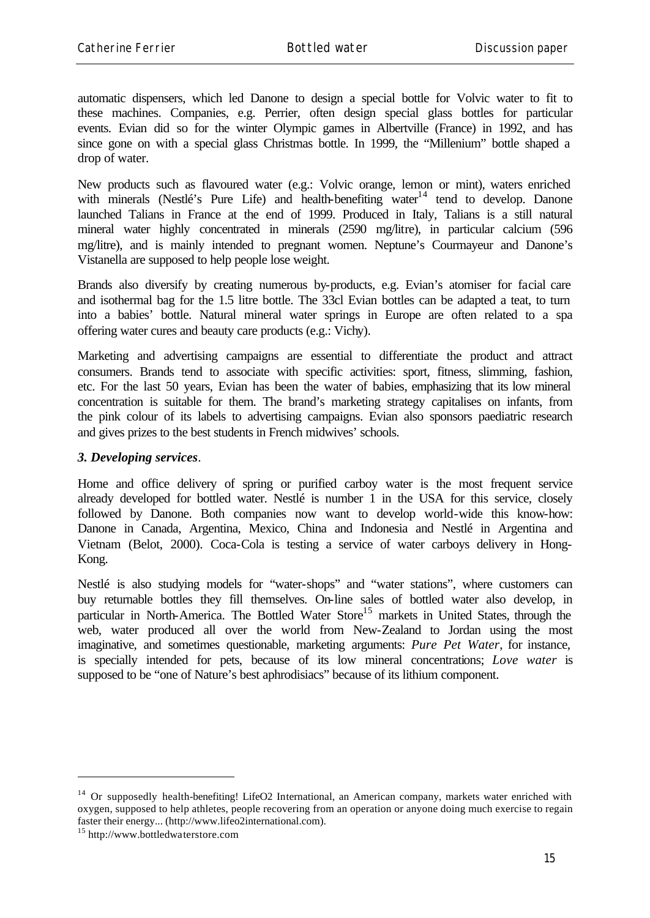automatic dispensers, which led Danone to design a special bottle for Volvic water to fit to these machines. Companies, e.g. Perrier, often design special glass bottles for particular events. Evian did so for the winter Olympic games in Albertville (France) in 1992, and has since gone on with a special glass Christmas bottle. In 1999, the "Millenium" bottle shaped a drop of water.

New products such as flavoured water (e.g.: Volvic orange, lemon or mint), waters enriched with minerals (Nestlé's Pure Life) and health-benefiting water<sup>14</sup> tend to develop. Danone launched Talians in France at the end of 1999. Produced in Italy, Talians is a still natural mineral water highly concentrated in minerals (2590 mg/litre), in particular calcium (596 mg/litre), and is mainly intended to pregnant women. Neptune's Courmayeur and Danone's Vistanella are supposed to help people lose weight.

Brands also diversify by creating numerous by-products, e.g. Evian's atomiser for facial care and isothermal bag for the 1.5 litre bottle. The 33cl Evian bottles can be adapted a teat, to turn into a babies' bottle. Natural mineral water springs in Europe are often related to a spa offering water cures and beauty care products (e.g.: Vichy).

Marketing and advertising campaigns are essential to differentiate the product and attract consumers. Brands tend to associate with specific activities: sport, fitness, slimming, fashion, etc. For the last 50 years, Evian has been the water of babies, emphasizing that its low mineral concentration is suitable for them. The brand's marketing strategy capitalises on infants, from the pink colour of its labels to advertising campaigns. Evian also sponsors paediatric research and gives prizes to the best students in French midwives' schools.

#### *3. Developing services*.

Home and office delivery of spring or purified carboy water is the most frequent service already developed for bottled water. Nestlé is number 1 in the USA for this service, closely followed by Danone. Both companies now want to develop world-wide this know-how: Danone in Canada, Argentina, Mexico, China and Indonesia and Nestlé in Argentina and Vietnam (Belot, 2000). Coca-Cola is testing a service of water carboys delivery in Hong-Kong.

Nestlé is also studying models for "water-shops" and "water stations", where customers can buy returnable bottles they fill themselves. On-line sales of bottled water also develop, in particular in North-America. The Bottled Water Store<sup>15</sup> markets in United States, through the web, water produced all over the world from New-Zealand to Jordan using the most imaginative, and sometimes questionable, marketing arguments: *Pure Pet Water*, for instance, is specially intended for pets, because of its low mineral concentrations; *Love water* is supposed to be "one of Nature's best aphrodisiacs" because of its lithium component.

<sup>&</sup>lt;sup>14</sup> Or supposedly health-benefiting! LifeO2 International, an American company, markets water enriched with oxygen, supposed to help athletes, people recovering from an operation or anyone doing much exercise to regain faster their energy... (http://www.lifeo2international.com).

<sup>15</sup> http://www.bottledwaterstore.com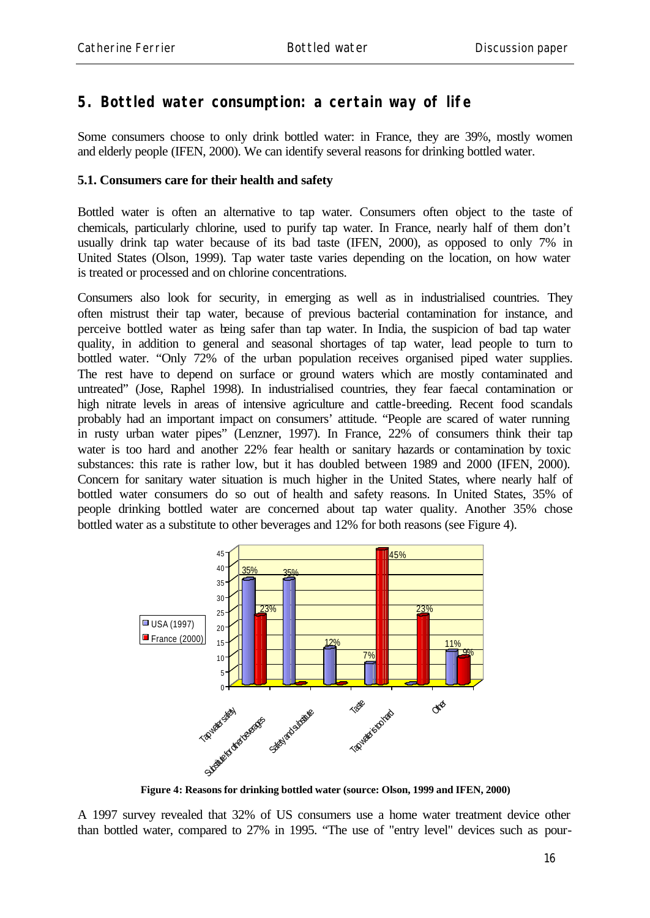### **5. Bottled water consumption: a certain way of life**

Some consumers choose to only drink bottled water: in France, they are 39%, mostly women and elderly people (IFEN, 2000). We can identify several reasons for drinking bottled water.

#### **5.1. Consumers care for their health and safety**

Bottled water is often an alternative to tap water. Consumers often object to the taste of chemicals, particularly chlorine, used to purify tap water. In France, nearly half of them don't usually drink tap water because of its bad taste (IFEN, 2000), as opposed to only 7% in United States (Olson, 1999). Tap water taste varies depending on the location, on how water is treated or processed and on chlorine concentrations.

Consumers also look for security, in emerging as well as in industrialised countries. They often mistrust their tap water, because of previous bacterial contamination for instance, and perceive bottled water as being safer than tap water. In India, the suspicion of bad tap water quality, in addition to general and seasonal shortages of tap water, lead people to turn to bottled water. "Only 72% of the urban population receives organised piped water supplies. The rest have to depend on surface or ground waters which are mostly contaminated and untreated" (Jose, Raphel 1998). In industrialised countries, they fear faecal contamination or high nitrate levels in areas of intensive agriculture and cattle-breeding. Recent food scandals probably had an important impact on consumers' attitude. "People are scared of water running in rusty urban water pipes" (Lenzner, 1997). In France, 22% of consumers think their tap water is too hard and another 22% fear health or sanitary hazards or contamination by toxic substances: this rate is rather low, but it has doubled between 1989 and 2000 (IFEN, 2000). Concern for sanitary water situation is much higher in the United States, where nearly half of bottled water consumers do so out of health and safety reasons. In United States, 35% of people drinking bottled water are concerned about tap water quality. Another 35% chose bottled water as a substitute to other beverages and 12% for both reasons (see Figure 4).



**Figure 4: Reasons for drinking bottled water (source: Olson, 1999 and IFEN, 2000)**

A 1997 survey revealed that 32% of US consumers use a home water treatment device other than bottled water, compared to 27% in 1995. "The use of "entry level" devices such as pour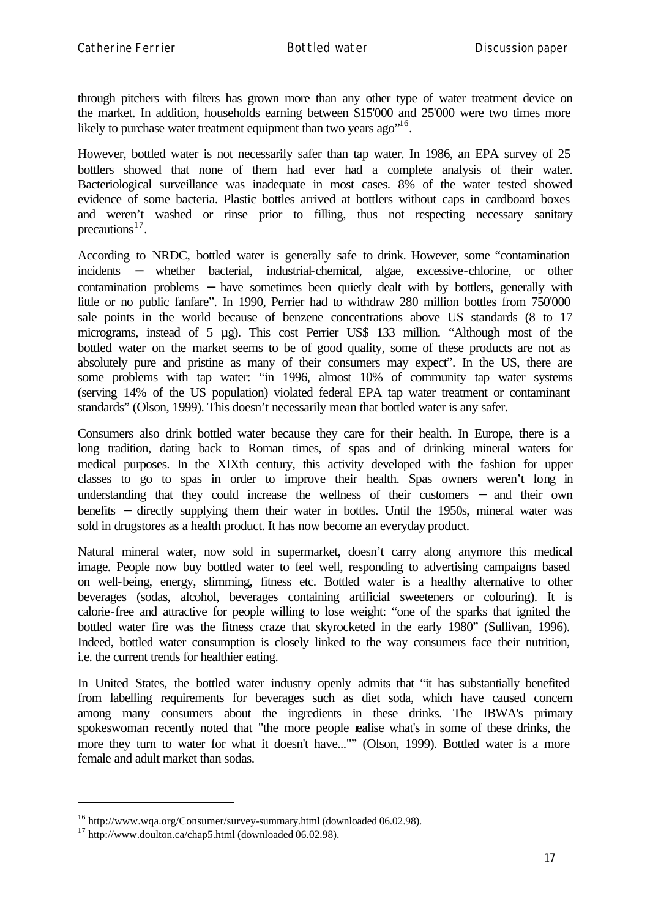through pitchers with filters has grown more than any other type of water treatment device on the market. In addition, households earning between \$15'000 and 25'000 were two times more likely to purchase water treatment equipment than two years ago"<sup>16</sup>.

However, bottled water is not necessarily safer than tap water. In 1986, an EPA survey of 25 bottlers showed that none of them had ever had a complete analysis of their water. Bacteriological surveillance was inadequate in most cases. 8% of the water tested showed evidence of some bacteria. Plastic bottles arrived at bottlers without caps in cardboard boxes and weren't washed or rinse prior to filling, thus not respecting necessary sanitary precautions $^{17}$ .

According to NRDC, bottled water is generally safe to drink. However, some "contamination incidents – whether bacterial, industrial-chemical, algae, excessive-chlorine, or other contamination problems – have sometimes been quietly dealt with by bottlers, generally with little or no public fanfare". In 1990, Perrier had to withdraw 280 million bottles from 750'000 sale points in the world because of benzene concentrations above US standards (8 to 17 micrograms, instead of 5 µg). This cost Perrier US\$ 133 million. "Although most of the bottled water on the market seems to be of good quality, some of these products are not as absolutely pure and pristine as many of their consumers may expect". In the US, there are some problems with tap water: "in 1996, almost 10% of community tap water systems (serving 14% of the US population) violated federal EPA tap water treatment or contaminant standards" (Olson, 1999). This doesn't necessarily mean that bottled water is any safer.

Consumers also drink bottled water because they care for their health. In Europe, there is a long tradition, dating back to Roman times, of spas and of drinking mineral waters for medical purposes. In the XIXth century, this activity developed with the fashion for upper classes to go to spas in order to improve their health. Spas owners weren't long in understanding that they could increase the wellness of their customers – and their own benefits − directly supplying them their water in bottles. Until the 1950s, mineral water was sold in drugstores as a health product. It has now become an everyday product.

Natural mineral water, now sold in supermarket, doesn't carry along anymore this medical image. People now buy bottled water to feel well, responding to advertising campaigns based on well-being, energy, slimming, fitness etc. Bottled water is a healthy alternative to other beverages (sodas, alcohol, beverages containing artificial sweeteners or colouring). It is calorie-free and attractive for people willing to lose weight: "one of the sparks that ignited the bottled water fire was the fitness craze that skyrocketed in the early 1980" (Sullivan, 1996). Indeed, bottled water consumption is closely linked to the way consumers face their nutrition, i.e. the current trends for healthier eating.

In United States, the bottled water industry openly admits that "it has substantially benefited from labelling requirements for beverages such as diet soda, which have caused concern among many consumers about the ingredients in these drinks. The IBWA's primary spokeswoman recently noted that "the more people realise what's in some of these drinks, the more they turn to water for what it doesn't have..."" (Olson, 1999). Bottled water is a more female and adult market than sodas.

<sup>16</sup> http://www.wqa.org/Consumer/survey-summary.html (downloaded 06.02.98).

<sup>17</sup> http://www.doulton.ca/chap5.html (downloaded 06.02.98).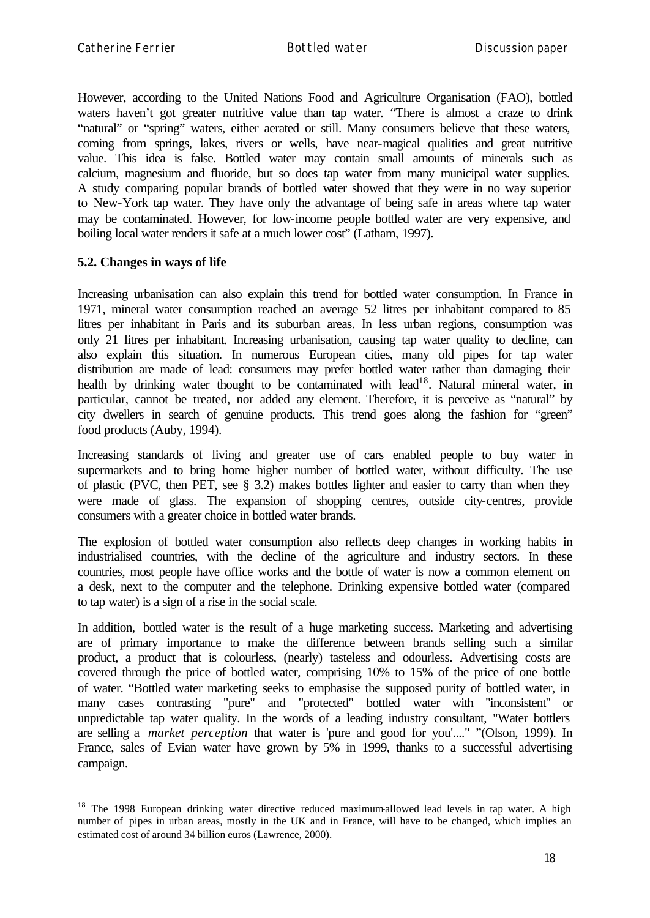However, according to the United Nations Food and Agriculture Organisation (FAO), bottled waters haven't got greater nutritive value than tap water. "There is almost a craze to drink "natural" or "spring" waters, either aerated or still. Many consumers believe that these waters, coming from springs, lakes, rivers or wells, have near-magical qualities and great nutritive value. This idea is false. Bottled water may contain small amounts of minerals such as calcium, magnesium and fluoride, but so does tap water from many municipal water supplies. A study comparing popular brands of bottled water showed that they were in no way superior to New-York tap water. They have only the advantage of being safe in areas where tap water may be contaminated. However, for low-income people bottled water are very expensive, and boiling local water renders it safe at a much lower cost" (Latham, 1997).

#### **5.2. Changes in ways of life**

l

Increasing urbanisation can also explain this trend for bottled water consumption. In France in 1971, mineral water consumption reached an average 52 litres per inhabitant compared to 85 litres per inhabitant in Paris and its suburban areas. In less urban regions, consumption was only 21 litres per inhabitant. Increasing urbanisation, causing tap water quality to decline, can also explain this situation. In numerous European cities, many old pipes for tap water distribution are made of lead: consumers may prefer bottled water rather than damaging their health by drinking water thought to be contaminated with lead<sup>18</sup>. Natural mineral water, in particular, cannot be treated, nor added any element. Therefore, it is perceive as "natural" by city dwellers in search of genuine products. This trend goes along the fashion for "green" food products (Auby, 1994).

Increasing standards of living and greater use of cars enabled people to buy water in supermarkets and to bring home higher number of bottled water, without difficulty. The use of plastic (PVC, then PET, see § 3.2) makes bottles lighter and easier to carry than when they were made of glass. The expansion of shopping centres, outside city-centres, provide consumers with a greater choice in bottled water brands.

The explosion of bottled water consumption also reflects deep changes in working habits in industrialised countries, with the decline of the agriculture and industry sectors. In these countries, most people have office works and the bottle of water is now a common element on a desk, next to the computer and the telephone. Drinking expensive bottled water (compared to tap water) is a sign of a rise in the social scale.

In addition, bottled water is the result of a huge marketing success. Marketing and advertising are of primary importance to make the difference between brands selling such a similar product, a product that is colourless, (nearly) tasteless and odourless. Advertising costs are covered through the price of bottled water, comprising 10% to 15% of the price of one bottle of water. "Bottled water marketing seeks to emphasise the supposed purity of bottled water, in many cases contrasting "pure" and "protected" bottled water with "inconsistent" or unpredictable tap water quality. In the words of a leading industry consultant, "Water bottlers are selling a *market perception* that water is 'pure and good for you'...." "(Olson, 1999). In France, sales of Evian water have grown by 5% in 1999, thanks to a successful advertising campaign.

<sup>&</sup>lt;sup>18</sup> The 1998 European drinking water directive reduced maximum-allowed lead levels in tap water. A high number of pipes in urban areas, mostly in the UK and in France, will have to be changed, which implies an estimated cost of around 34 billion euros (Lawrence, 2000).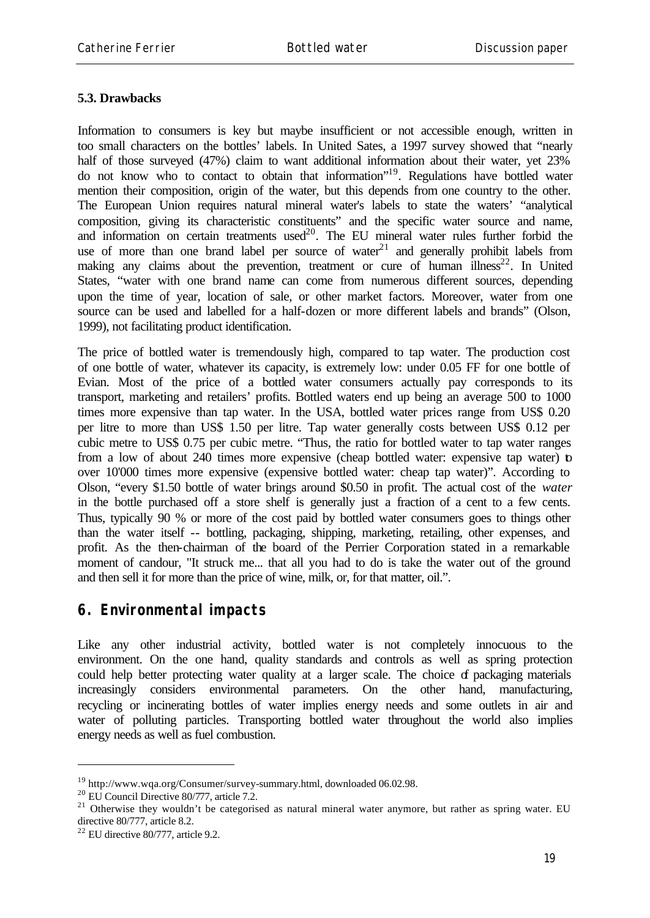#### **5.3. Drawbacks**

Information to consumers is key but maybe insufficient or not accessible enough, written in too small characters on the bottles' labels. In United Sates, a 1997 survey showed that "nearly half of those surveyed (47%) claim to want additional information about their water, yet 23% do not know who to contact to obtain that information"<sup>19</sup>. Regulations have bottled water mention their composition, origin of the water, but this depends from one country to the other. The European Union requires natural mineral water's labels to state the waters' "analytical composition, giving its characteristic constituents" and the specific water source and name, and information on certain treatments used<sup>20</sup>. The EU mineral water rules further forbid the use of more than one brand label per source of water $2<sup>1</sup>$  and generally prohibit labels from making any claims about the prevention, treatment or cure of human illness<sup>22</sup>. In United States, "water with one brand name can come from numerous different sources, depending upon the time of year, location of sale, or other market factors. Moreover, water from one source can be used and labelled for a half-dozen or more different labels and brands" (Olson, 1999), not facilitating product identification.

The price of bottled water is tremendously high, compared to tap water. The production cost of one bottle of water, whatever its capacity, is extremely low: under 0.05 FF for one bottle of Evian. Most of the price of a bottled water consumers actually pay corresponds to its transport, marketing and retailers' profits. Bottled waters end up being an average 500 to 1000 times more expensive than tap water. In the USA, bottled water prices range from US\$ 0.20 per litre to more than US\$ 1.50 per litre. Tap water generally costs between US\$ 0.12 per cubic metre to US\$ 0.75 per cubic metre. "Thus, the ratio for bottled water to tap water ranges from a low of about 240 times more expensive (cheap bottled water: expensive tap water) to over 10'000 times more expensive (expensive bottled water: cheap tap water)". According to Olson, "every \$1.50 bottle of water brings around \$0.50 in profit. The actual cost of the *water* in the bottle purchased off a store shelf is generally just a fraction of a cent to a few cents. Thus, typically 90 % or more of the cost paid by bottled water consumers goes to things other than the water itself -- bottling, packaging, shipping, marketing, retailing, other expenses, and profit. As the then-chairman of the board of the Perrier Corporation stated in a remarkable moment of candour, "It struck me... that all you had to do is take the water out of the ground and then sell it for more than the price of wine, milk, or, for that matter, oil.".

### **6. Environmental impacts**

Like any other industrial activity, bottled water is not completely innocuous to the environment. On the one hand, quality standards and controls as well as spring protection could help better protecting water quality at a larger scale. The choice of packaging materials increasingly considers environmental parameters. On the other hand, manufacturing, recycling or incinerating bottles of water implies energy needs and some outlets in air and water of polluting particles. Transporting bottled water throughout the world also implies energy needs as well as fuel combustion.

<sup>19</sup> http://www.wqa.org/Consumer/survey-summary.html, downloaded 06.02.98.

<sup>&</sup>lt;sup>20</sup> EU Council Directive 80/777, article 7.2.

 $21$  Otherwise they wouldn't be categorised as natural mineral water anymore, but rather as spring water. EU directive 80/777, article 8.2.

 $22$  EU directive 80/777, article 9.2.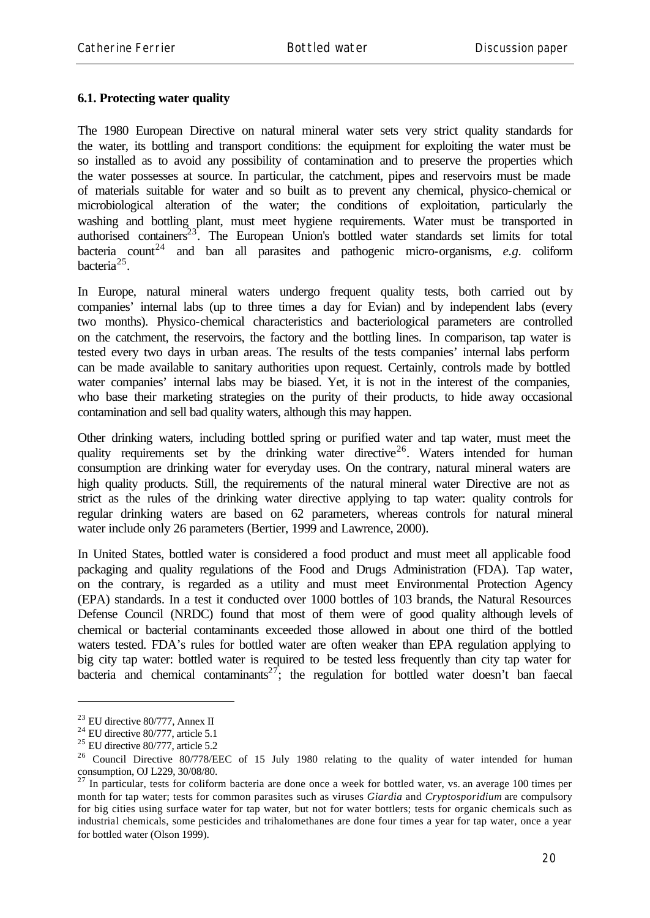#### **6.1. Protecting water quality**

The 1980 European Directive on natural mineral water sets very strict quality standards for the water, its bottling and transport conditions: the equipment for exploiting the water must be so installed as to avoid any possibility of contamination and to preserve the properties which the water possesses at source. In particular, the catchment, pipes and reservoirs must be made of materials suitable for water and so built as to prevent any chemical, physico-chemical or microbiological alteration of the water; the conditions of exploitation, particularly the washing and bottling plant, must meet hygiene requirements. Water must be transported in authorised containers $23$ . The European Union's bottled water standards set limits for total bacteria count<sup>24</sup> and ban all parasites and pathogenic micro-organisms,  $e.g.$  coliform bacteria<sup>25</sup>.

In Europe, natural mineral waters undergo frequent quality tests, both carried out by companies' internal labs (up to three times a day for Evian) and by independent labs (every two months). Physico-chemical characteristics and bacteriological parameters are controlled on the catchment, the reservoirs, the factory and the bottling lines. In comparison, tap water is tested every two days in urban areas. The results of the tests companies' internal labs perform can be made available to sanitary authorities upon request. Certainly, controls made by bottled water companies' internal labs may be biased. Yet, it is not in the interest of the companies, who base their marketing strategies on the purity of their products, to hide away occasional contamination and sell bad quality waters, although this may happen.

Other drinking waters, including bottled spring or purified water and tap water, must meet the quality requirements set by the drinking water directive<sup>26</sup>. Waters intended for human consumption are drinking water for everyday uses. On the contrary, natural mineral waters are high quality products. Still, the requirements of the natural mineral water Directive are not as strict as the rules of the drinking water directive applying to tap water: quality controls for regular drinking waters are based on 62 parameters, whereas controls for natural mineral water include only 26 parameters (Bertier, 1999 and Lawrence, 2000).

In United States, bottled water is considered a food product and must meet all applicable food packaging and quality regulations of the Food and Drugs Administration (FDA). Tap water, on the contrary, is regarded as a utility and must meet Environmental Protection Agency (EPA) standards. In a test it conducted over 1000 bottles of 103 brands, the Natural Resources Defense Council (NRDC) found that most of them were of good quality although levels of chemical or bacterial contaminants exceeded those allowed in about one third of the bottled waters tested. FDA's rules for bottled water are often weaker than EPA regulation applying to big city tap water: bottled water is required to be tested less frequently than city tap water for bacteria and chemical contaminants<sup>27</sup>; the regulation for bottled water doesn't ban faecal

<sup>23</sup> EU directive 80/777, Annex II

 $24$  EU directive 80/777, article 5.1

<sup>25</sup> EU directive 80/777, article 5.2

<sup>&</sup>lt;sup>26</sup> Council Directive 80/778/EEC of 15 July 1980 relating to the quality of water intended for human consumption, OJ L229, 30/08/80.

 $27$  In particular, tests for coliform bacteria are done once a week for bottled water, vs. an average 100 times per month for tap water; tests for common parasites such as viruses *Giardia* and *Cryptosporidium* are compulsory for big cities using surface water for tap water, but not for water bottlers; tests for organic chemicals such as industrial chemicals, some pesticides and trihalomethanes are done four times a year for tap water, once a year for bottled water (Olson 1999).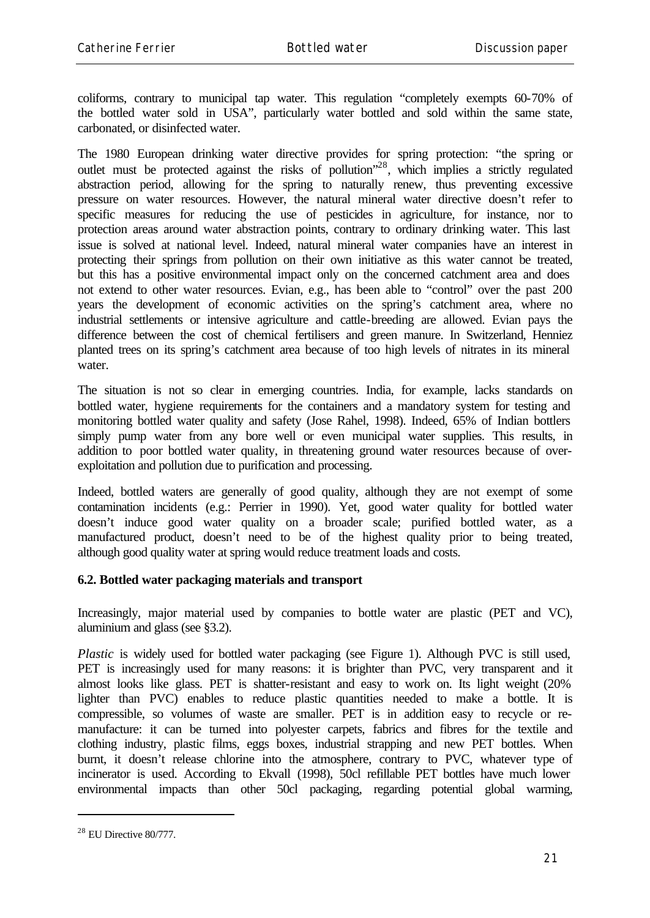coliforms, contrary to municipal tap water. This regulation "completely exempts 60-70% of the bottled water sold in USA", particularly water bottled and sold within the same state, carbonated, or disinfected water.

The 1980 European drinking water directive provides for spring protection: "the spring or outlet must be protected against the risks of pollution"<sup>28</sup>, which implies a strictly regulated abstraction period, allowing for the spring to naturally renew, thus preventing excessive pressure on water resources. However, the natural mineral water directive doesn't refer to specific measures for reducing the use of pesticides in agriculture, for instance, nor to protection areas around water abstraction points, contrary to ordinary drinking water. This last issue is solved at national level. Indeed, natural mineral water companies have an interest in protecting their springs from pollution on their own initiative as this water cannot be treated, but this has a positive environmental impact only on the concerned catchment area and does not extend to other water resources. Evian, e.g., has been able to "control" over the past 200 years the development of economic activities on the spring's catchment area, where no industrial settlements or intensive agriculture and cattle-breeding are allowed. Evian pays the difference between the cost of chemical fertilisers and green manure. In Switzerland, Henniez planted trees on its spring's catchment area because of too high levels of nitrates in its mineral water.

The situation is not so clear in emerging countries. India, for example, lacks standards on bottled water, hygiene requirements for the containers and a mandatory system for testing and monitoring bottled water quality and safety (Jose Rahel, 1998). Indeed, 65% of Indian bottlers simply pump water from any bore well or even municipal water supplies. This results, in addition to poor bottled water quality, in threatening ground water resources because of overexploitation and pollution due to purification and processing.

Indeed, bottled waters are generally of good quality, although they are not exempt of some contamination incidents (e.g.: Perrier in 1990). Yet, good water quality for bottled water doesn't induce good water quality on a broader scale; purified bottled water, as a manufactured product, doesn't need to be of the highest quality prior to being treated, although good quality water at spring would reduce treatment loads and costs.

#### **6.2. Bottled water packaging materials and transport**

Increasingly, major material used by companies to bottle water are plastic (PET and VC), aluminium and glass (see §3.2).

*Plastic* is widely used for bottled water packaging (see Figure 1). Although PVC is still used, PET is increasingly used for many reasons: it is brighter than PVC, very transparent and it almost looks like glass. PET is shatter-resistant and easy to work on. Its light weight (20% lighter than PVC) enables to reduce plastic quantities needed to make a bottle. It is compressible, so volumes of waste are smaller. PET is in addition easy to recycle or remanufacture: it can be turned into polyester carpets, fabrics and fibres for the textile and clothing industry, plastic films, eggs boxes, industrial strapping and new PET bottles. When burnt, it doesn't release chlorine into the atmosphere, contrary to PVC, whatever type of incinerator is used. According to Ekvall (1998), 50cl refillable PET bottles have much lower environmental impacts than other 50cl packaging, regarding potential global warming,

 $28$  EU Directive 80/777.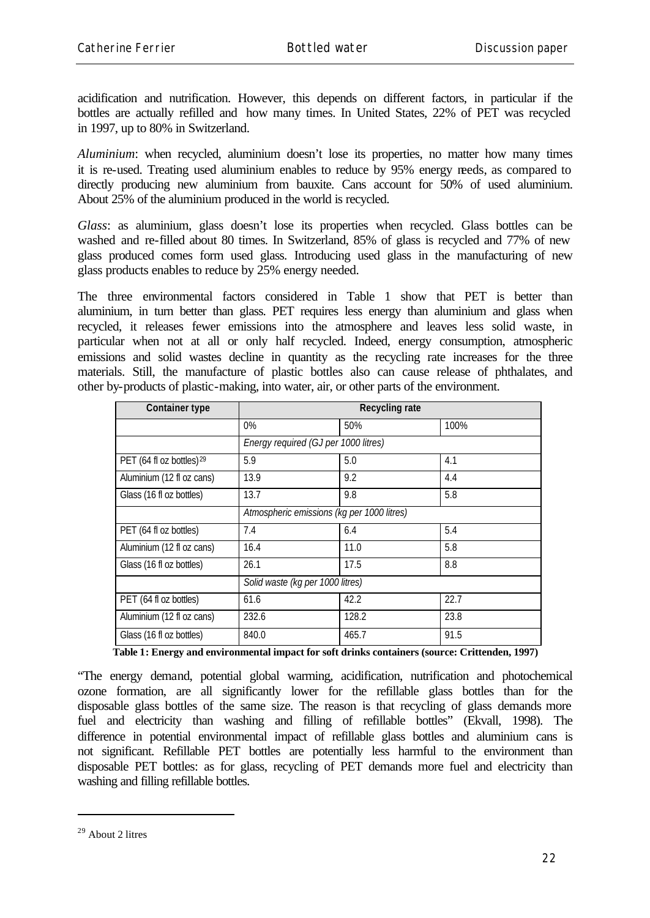acidification and nutrification. However, this depends on different factors, in particular if the bottles are actually refilled and how many times. In United States, 22% of PET was recycled in 1997, up to 80% in Switzerland.

*Aluminium*: when recycled, aluminium doesn't lose its properties, no matter how many times it is re-used. Treating used aluminium enables to reduce by 95% energy needs, as compared to directly producing new aluminium from bauxite. Cans account for 50% of used aluminium. About 25% of the aluminium produced in the world is recycled.

*Glass*: as aluminium, glass doesn't lose its properties when recycled. Glass bottles can be washed and re-filled about 80 times. In Switzerland, 85% of glass is recycled and 77% of new glass produced comes form used glass. Introducing used glass in the manufacturing of new glass products enables to reduce by 25% energy needed.

The three environmental factors considered in Table 1 show that PET is better than aluminium, in turn better than glass. PET requires less energy than aluminium and glass when recycled, it releases fewer emissions into the atmosphere and leaves less solid waste, in particular when not at all or only half recycled. Indeed, energy consumption, atmospheric emissions and solid wastes decline in quantity as the recycling rate increases for the three materials. Still, the manufacture of plastic bottles also can cause release of phthalates, and other by-products of plastic-making, into water, air, or other parts of the environment.

| <b>Container type</b>                | <b>Recycling rate</b>                      |       |      |
|--------------------------------------|--------------------------------------------|-------|------|
|                                      | $0\%$                                      | 50%   | 100% |
|                                      | Energy required (GJ per 1000 litres)       |       |      |
| PET (64 fl oz bottles) <sup>29</sup> | 5.9                                        | 5.0   | 4.1  |
| Aluminium (12 fl oz cans)            | 13.9                                       | 9.2   | 4.4  |
| Glass (16 fl oz bottles)             | 13.7                                       | 9.8   | 5.8  |
|                                      | Atmospheric emissions (kg per 1000 litres) |       |      |
| PET (64 fl oz bottles)               | 7.4                                        | 6.4   | 5.4  |
| Aluminium (12 fl oz cans)            | 16.4                                       | 11.0  | 5.8  |
| Glass (16 fl oz bottles)             | 26.1                                       | 17.5  | 8.8  |
|                                      | Solid waste (kg per 1000 litres)           |       |      |
| PET (64 fl oz bottles)               | 61.6                                       | 42.2  | 22.7 |
| Aluminium (12 fl oz cans)            | 232.6                                      | 128.2 | 23.8 |
| Glass (16 fl oz bottles)             | 840.0                                      | 465.7 | 91.5 |

**Table 1: Energy and environmental impact for soft drinks containers (source: Crittenden, 1997)**

"The energy demand, potential global warming, acidification, nutrification and photochemical ozone formation, are all significantly lower for the refillable glass bottles than for the disposable glass bottles of the same size. The reason is that recycling of glass demands more fuel and electricity than washing and filling of refillable bottles" (Ekvall, 1998). The difference in potential environmental impact of refillable glass bottles and aluminium cans is not significant. Refillable PET bottles are potentially less harmful to the environment than disposable PET bottles: as for glass, recycling of PET demands more fuel and electricity than washing and filling refillable bottles.

 $29$  About 2 litres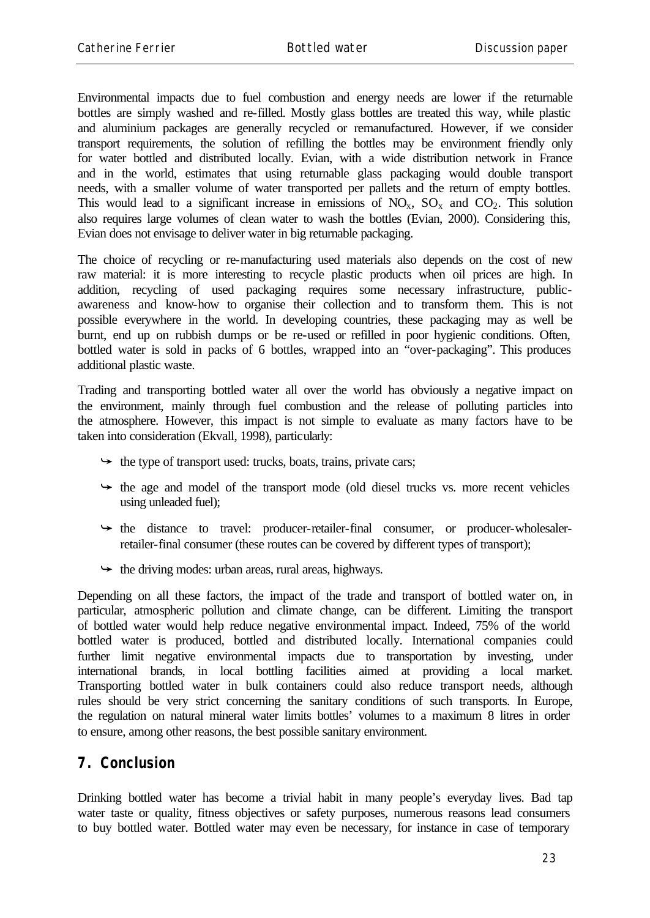Environmental impacts due to fuel combustion and energy needs are lower if the returnable bottles are simply washed and re-filled. Mostly glass bottles are treated this way, while plastic and aluminium packages are generally recycled or remanufactured. However, if we consider transport requirements, the solution of refilling the bottles may be environment friendly only for water bottled and distributed locally. Evian, with a wide distribution network in France and in the world, estimates that using returnable glass packaging would double transport needs, with a smaller volume of water transported per pallets and the return of empty bottles. This would lead to a significant increase in emissions of  $NO_x$ ,  $SO_x$  and  $CO_2$ . This solution also requires large volumes of clean water to wash the bottles (Evian, 2000). Considering this, Evian does not envisage to deliver water in big returnable packaging.

The choice of recycling or re-manufacturing used materials also depends on the cost of new raw material: it is more interesting to recycle plastic products when oil prices are high. In addition, recycling of used packaging requires some necessary infrastructure, publicawareness and know-how to organise their collection and to transform them. This is not possible everywhere in the world. In developing countries, these packaging may as well be burnt, end up on rubbish dumps or be re-used or refilled in poor hygienic conditions. Often, bottled water is sold in packs of 6 bottles, wrapped into an "over-packaging". This produces additional plastic waste.

Trading and transporting bottled water all over the world has obviously a negative impact on the environment, mainly through fuel combustion and the release of polluting particles into the atmosphere. However, this impact is not simple to evaluate as many factors have to be taken into consideration (Ekvall, 1998), particularly:

- $\rightarrow$  the type of transport used: trucks, boats, trains, private cars;
- $\rightarrow$  the age and model of the transport mode (old diesel trucks vs. more recent vehicles using unleaded fuel);
- $\rightarrow$  the distance to travel: producer-retailer-final consumer, or producer-wholesalerretailer-final consumer (these routes can be covered by different types of transport);
- $\leftrightarrow$  the driving modes: urban areas, rural areas, highways.

Depending on all these factors, the impact of the trade and transport of bottled water on, in particular, atmospheric pollution and climate change, can be different. Limiting the transport of bottled water would help reduce negative environmental impact. Indeed, 75% of the world bottled water is produced, bottled and distributed locally. International companies could further limit negative environmental impacts due to transportation by investing, under international brands, in local bottling facilities aimed at providing a local market. Transporting bottled water in bulk containers could also reduce transport needs, although rules should be very strict concerning the sanitary conditions of such transports. In Europe, the regulation on natural mineral water limits bottles' volumes to a maximum 8 litres in order to ensure, among other reasons, the best possible sanitary environment.

### **7. Conclusion**

Drinking bottled water has become a trivial habit in many people's everyday lives. Bad tap water taste or quality, fitness objectives or safety purposes, numerous reasons lead consumers to buy bottled water. Bottled water may even be necessary, for instance in case of temporary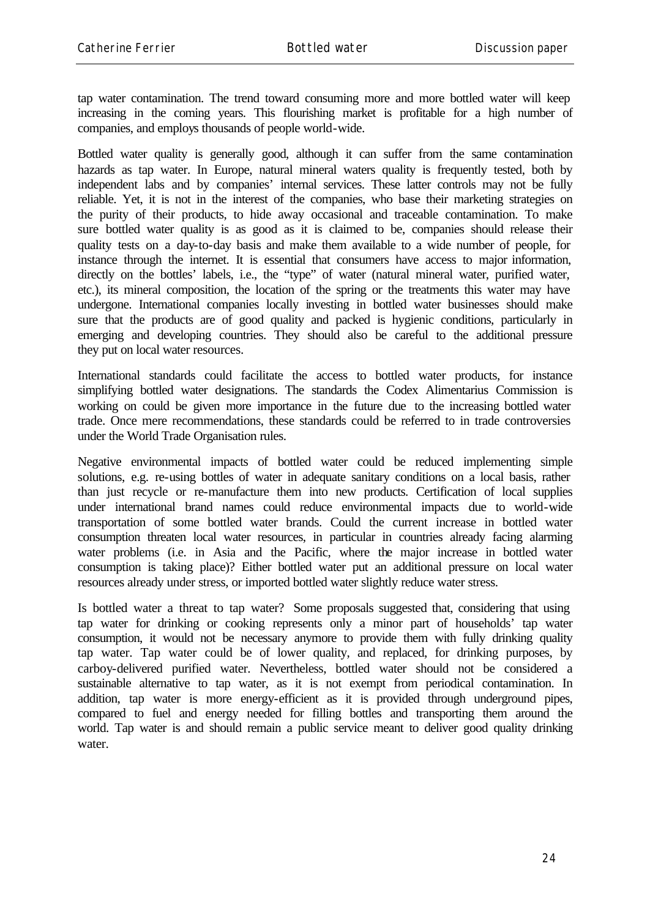tap water contamination. The trend toward consuming more and more bottled water will keep increasing in the coming years. This flourishing market is profitable for a high number of companies, and employs thousands of people world-wide.

Bottled water quality is generally good, although it can suffer from the same contamination hazards as tap water. In Europe, natural mineral waters quality is frequently tested, both by independent labs and by companies' internal services. These latter controls may not be fully reliable. Yet, it is not in the interest of the companies, who base their marketing strategies on the purity of their products, to hide away occasional and traceable contamination. To make sure bottled water quality is as good as it is claimed to be, companies should release their quality tests on a day-to-day basis and make them available to a wide number of people, for instance through the internet. It is essential that consumers have access to major information, directly on the bottles' labels, i.e., the "type" of water (natural mineral water, purified water, etc.), its mineral composition, the location of the spring or the treatments this water may have undergone. International companies locally investing in bottled water businesses should make sure that the products are of good quality and packed is hygienic conditions, particularly in emerging and developing countries. They should also be careful to the additional pressure they put on local water resources.

International standards could facilitate the access to bottled water products, for instance simplifying bottled water designations. The standards the Codex Alimentarius Commission is working on could be given more importance in the future due to the increasing bottled water trade. Once mere recommendations, these standards could be referred to in trade controversies under the World Trade Organisation rules.

Negative environmental impacts of bottled water could be reduced implementing simple solutions, e.g. re-using bottles of water in adequate sanitary conditions on a local basis, rather than just recycle or re-manufacture them into new products. Certification of local supplies under international brand names could reduce environmental impacts due to world-wide transportation of some bottled water brands. Could the current increase in bottled water consumption threaten local water resources, in particular in countries already facing alarming water problems (i.e. in Asia and the Pacific, where the major increase in bottled water consumption is taking place)? Either bottled water put an additional pressure on local water resources already under stress, or imported bottled water slightly reduce water stress.

Is bottled water a threat to tap water? Some proposals suggested that, considering that using tap water for drinking or cooking represents only a minor part of households' tap water consumption, it would not be necessary anymore to provide them with fully drinking quality tap water. Tap water could be of lower quality, and replaced, for drinking purposes, by carboy-delivered purified water. Nevertheless, bottled water should not be considered a sustainable alternative to tap water, as it is not exempt from periodical contamination. In addition, tap water is more energy-efficient as it is provided through underground pipes, compared to fuel and energy needed for filling bottles and transporting them around the world. Tap water is and should remain a public service meant to deliver good quality drinking water.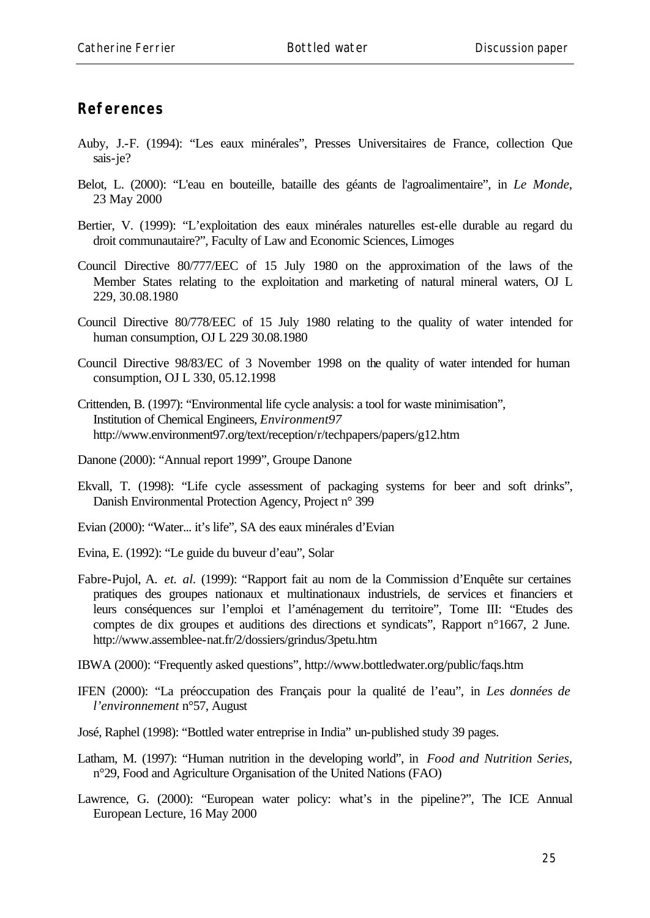## **References**

- Auby, J.-F. (1994): "Les eaux minérales", Presses Universitaires de France, collection Que sais-je?
- Belot, L. (2000): "L'eau en bouteille, bataille des géants de l'agroalimentaire", in *Le Monde*, 23 May 2000
- Bertier, V. (1999): "L'exploitation des eaux minérales naturelles est-elle durable au regard du droit communautaire?", Faculty of Law and Economic Sciences, Limoges
- Council Directive 80/777/EEC of 15 July 1980 on the approximation of the laws of the Member States relating to the exploitation and marketing of natural mineral waters, OJ L 229, 30.08.1980
- Council Directive 80/778/EEC of 15 July 1980 relating to the quality of water intended for human consumption, OJ L 229 30.08.1980
- Council Directive 98/83/EC of 3 November 1998 on the quality of water intended for human consumption, OJ L 330, 05.12.1998
- Crittenden, B. (1997): "Environmental life cycle analysis: a tool for waste minimisation", Institution of Chemical Engineers, *Environment97* http://www.environment97.org/text/reception/r/techpapers/papers/g12.htm
- Danone (2000): "Annual report 1999", Groupe Danone
- Ekvall, T. (1998): "Life cycle assessment of packaging systems for beer and soft drinks", Danish Environmental Protection Agency, Project n° 399
- Evian (2000): "Water... it's life", SA des eaux minérales d'Evian
- Evina, E. (1992): "Le guide du buveur d'eau", Solar
- Fabre-Pujol, A. *et. al.* (1999): "Rapport fait au nom de la Commission d'Enquête sur certaines pratiques des groupes nationaux et multinationaux industriels, de services et financiers et leurs conséquences sur l'emploi et l'aménagement du territoire", Tome III: "Etudes des comptes de dix groupes et auditions des directions et syndicats", Rapport n°1667, 2 June. http://www.assemblee-nat.fr/2/dossiers/grindus/3petu.htm
- IBWA (2000): "Frequently asked questions", http://www.bottledwater.org/public/faqs.htm
- IFEN (2000): "La préoccupation des Français pour la qualité de l'eau", in *Les données de l'environnement* n°57, August
- José, Raphel (1998): "Bottled water entreprise in India" un-published study 39 pages.
- Latham, M. (1997): "Human nutrition in the developing world", in *Food and Nutrition Series*, n°29, Food and Agriculture Organisation of the United Nations (FAO)
- Lawrence, G. (2000): "European water policy: what's in the pipeline?", The ICE Annual European Lecture, 16 May 2000